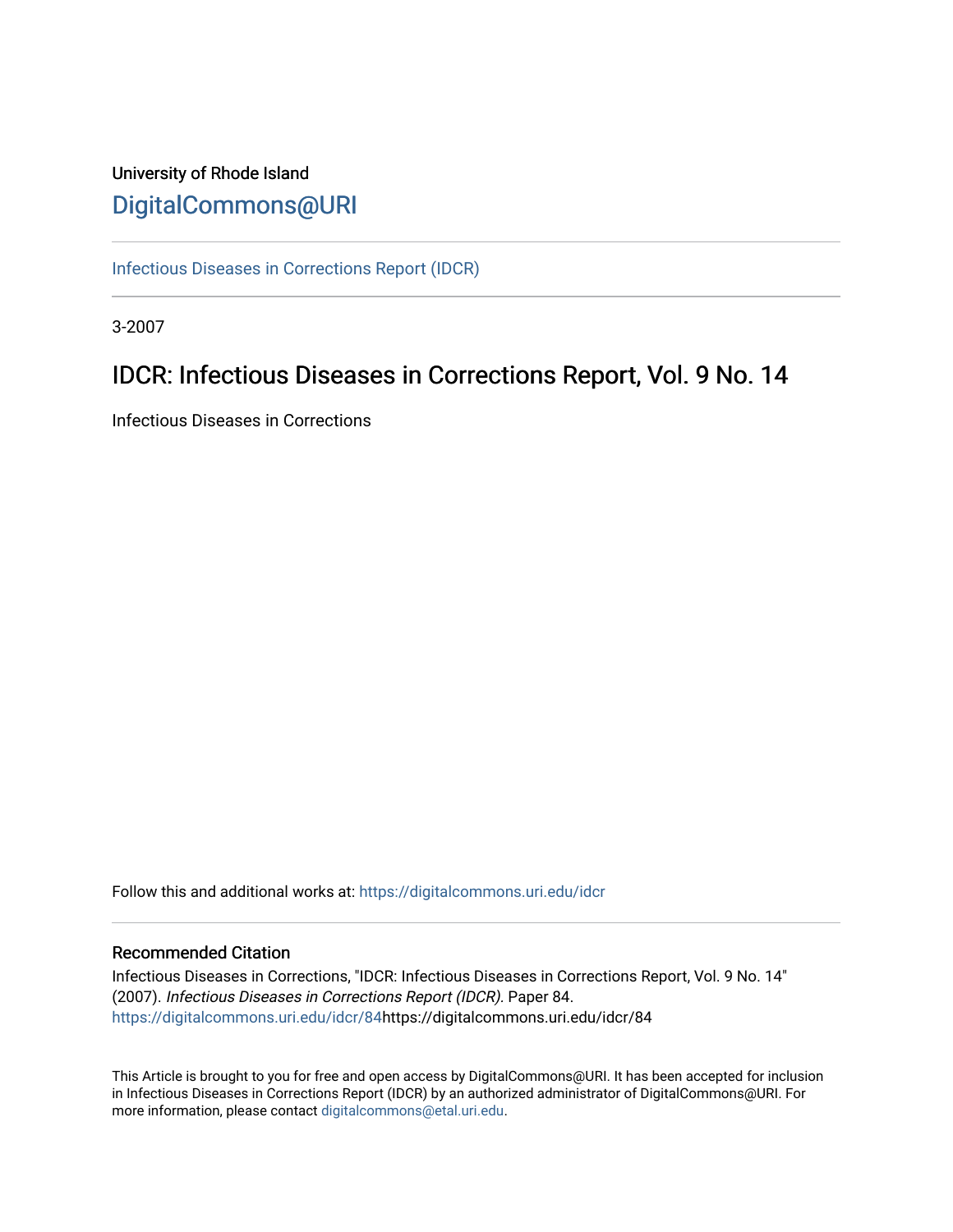# University of Rhode Island [DigitalCommons@URI](https://digitalcommons.uri.edu/)

[Infectious Diseases in Corrections Report \(IDCR\)](https://digitalcommons.uri.edu/idcr)

3-2007

# IDCR: Infectious Diseases in Corrections Report, Vol. 9 No. 14

Infectious Diseases in Corrections

Follow this and additional works at: [https://digitalcommons.uri.edu/idcr](https://digitalcommons.uri.edu/idcr?utm_source=digitalcommons.uri.edu%2Fidcr%2F84&utm_medium=PDF&utm_campaign=PDFCoverPages)

# Recommended Citation

Infectious Diseases in Corrections, "IDCR: Infectious Diseases in Corrections Report, Vol. 9 No. 14" (2007). Infectious Diseases in Corrections Report (IDCR). Paper 84. [https://digitalcommons.uri.edu/idcr/84h](https://digitalcommons.uri.edu/idcr/84?utm_source=digitalcommons.uri.edu%2Fidcr%2F84&utm_medium=PDF&utm_campaign=PDFCoverPages)ttps://digitalcommons.uri.edu/idcr/84

This Article is brought to you for free and open access by DigitalCommons@URI. It has been accepted for inclusion in Infectious Diseases in Corrections Report (IDCR) by an authorized administrator of DigitalCommons@URI. For more information, please contact [digitalcommons@etal.uri.edu.](mailto:digitalcommons@etal.uri.edu)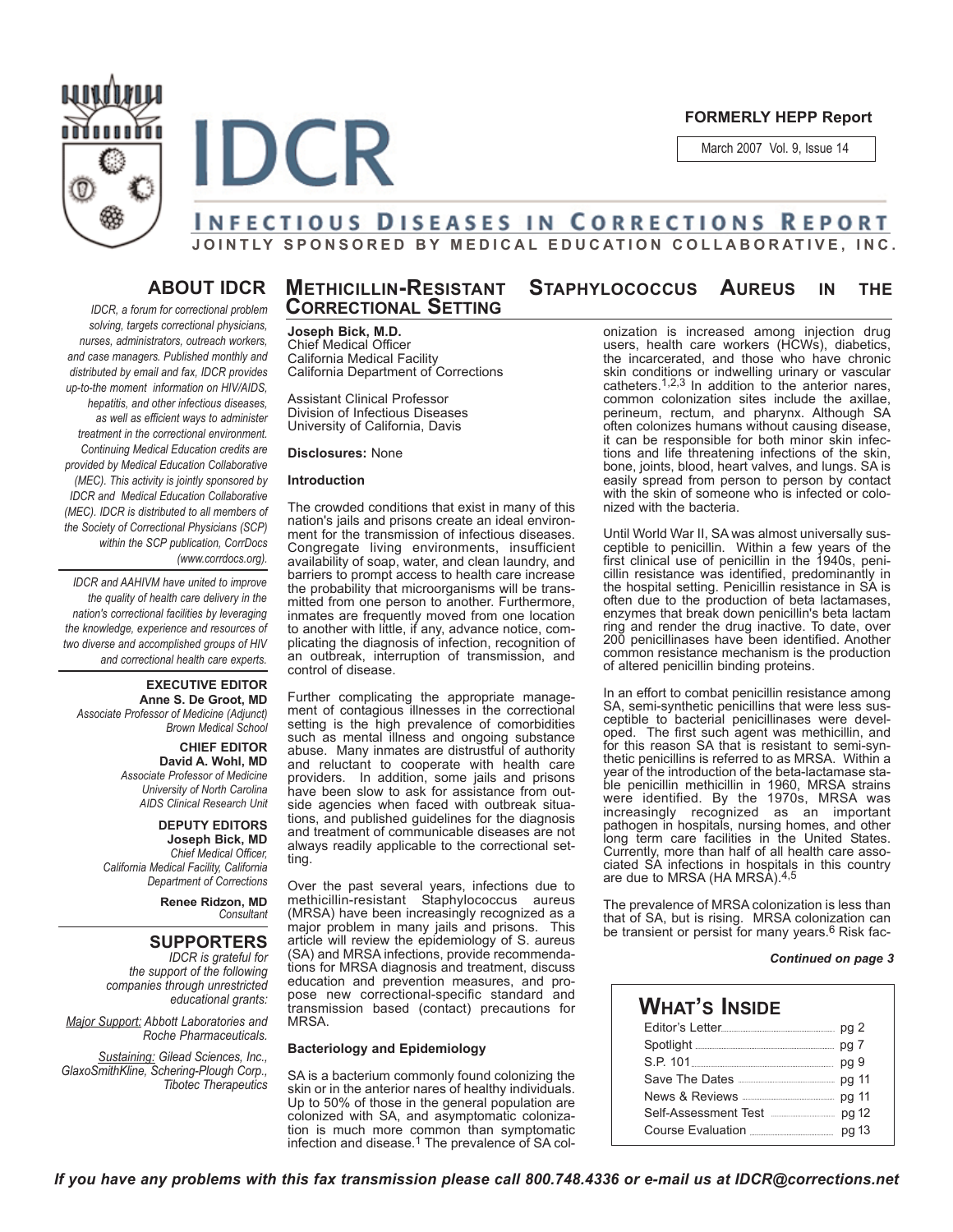

**FORMERLY HEPP Report**

March 2007 Vol. 9, Issue 14



# **INFECTIOUS DISEASES IN CORRECTIONS REPORT JOINTLY SPONSORED BY MEDICAL EDUCATION COLLABORATIVE, INC.**

# **ABOUT IDCR**

*IDCR, a forum for correctional problem solving, targets correctional physicians, nurses, administrators, outreach workers, and case managers. Published monthly and distributed by email and fax, IDCR provides up-to-the moment information on HIV/AIDS, hepatitis, and other infectious diseases, as well as efficient ways to administer treatment in the correctional environment. Continuing Medical Education credits are provided by Medical Education Collaborative (MEC). This activity is jointly sponsored by IDCR and Medical Education Collaborative (MEC). IDCR is distributed to all members of the Society of Correctional Physicians (SCP) within the SCP publication, CorrDocs (www.corrdocs.org).*

*IDCR and AAHIVM have united to improve the quality of health care delivery in the nation's correctional facilities by leveraging the knowledge, experience and resources of two diverse and accomplished groups of HIV and correctional health care experts.* 

#### **EXECUTIVE EDITOR Anne S. De Groot, MD** *Associate Professor of Medicine (Adjunct) Brown Medical School*

**CHIEF EDITOR David A. Wohl, MD** *Associate Professor of Medicine University of North Carolina AIDS Clinical Research Unit*

**DEPUTY EDITORS Joseph Bick, MD** *Chief Medical Officer, California Medical Facility, California*

*Department of Corrections* **Renee Ridzon, MD**

*Consultant*

# **SUPPORTERS**

*IDCR is grateful for the support of the following companies through unrestricted educational grants:*

*Major Support: Abbott Laboratories and Roche Pharmaceuticals.* 

*Sustaining: Gilead Sciences, Inc., GlaxoSmithKline, Schering-Plough Corp., Tibotec Therapeutics*

# **METHICILLIN-RESISTANT STAPHYLOCOCCUS AUREUS IN THE CORRECTIONAL SETTING**

**Joseph Bick, M.D.** Chief Medical Officer California Medical Facility California Department of Corrections

Assistant Clinical Professor Division of Infectious Diseases University of California, Davis

### **Disclosures:** None

# **Introduction**

The crowded conditions that exist in many of this nation's jails and prisons create an ideal environment for the transmission of infectious diseases. Congregate living environments, insufficient availability of soap, water, and clean laundry, and barriers to prompt access to health care increase the probability that microorganisms will be transmitted from one person to another. Furthermore, inmates are frequently moved from one location to another with little, if any, advance notice, complicating the diagnosis of infection, recognition of an outbreak, interruption of transmission, and control of disease.

Further complicating the appropriate management of contagious illnesses in the correctional setting is the high prevalence of comorbidities such as mental illness and ongoing substance abuse. Many inmates are distrustful of authority and reluctant to cooperate with health care providers. In addition, some jails and prisons have been slow to ask for assistance from outside agencies when faced with outbreak situations, and published guidelines for the diagnosis and treatment of communicable diseases are not always readily applicable to the correctional setting.

Over the past several years, infections due to methicillin-resistant Staphylococcus aureus (MRSA) have been increasingly recognized as a major problem in many jails and prisons. article will review the epidemiology of S. aureus (SA) and MRSA infections, provide recommendations for MRSA diagnosis and treatment, discuss education and prevention measures, and propose new correctional-specific standard and transmission based (contact) precautions for MRSA.

# **Bacteriology and Epidemiology**

SA is a bacterium commonly found colonizing the skin or in the anterior nares of healthy individuals. Up to 50% of those in the general population are colonized with SA, and asymptomatic colonization is much more common than symptomatic infection and disease.<sup>1</sup> The prevalence of SA colonization is increased among injection drug users, health care workers (HCWs), diabetics, the incarcerated, and those who have chronic skin conditions or indwelling urinary or vascular<br>catheters.<sup>1,2,3</sup> In addition to the anterior nares, common colonization sites include the axillae, perineum, rectum, and pharynx. Although SA often colonizes humans without causing disease, it can be responsible for both minor skin infections and life threatening infections of the skin, bone, joints, blood, heart valves, and lungs. SA is easily spread from person to person by contact with the skin of someone who is infected or colonized with the bacteria.

Until World War II, SA was almost universally susceptible to penicillin. Within a few years of the first clinical use of penicillin in the 1940s, penicillin resistance was identified, predominantly in the hospital setting. Penicillin resistance in SA is often due to the production of beta lactamases, enzymes that break down penicillin's beta lactam ring and render the drug inactive. To date, over 200 penicillinases have been identified. Another common resistance mechanism is the production of altered penicillin binding proteins.

In an effort to combat penicillin resistance among SA, semi-synthetic penicillins that were less susceptible to bacterial penicillinases were developed. The first such agent was methicillin, and for this reason SA that is resistant to semi-synthetic penicillins is referred to as MRSA. Within a year of the introduction of the beta-lactamase stable penicillin methicillin in 1960, MRSA strains were identified. By the 1970s, MRSA was increasingly recognized as an important pathogen in hospitals, nursing homes, and other long term care facilities in the United States. Currently, more than half of all health care associated SA infections in hospitals in this country<br>are due to MRSA (HA MRSA).<sup>4,5</sup>

The prevalence of MRSA colonization is less than that of SA, but is rising. MRSA colonization can be transient or persist for many years.<sup>6</sup> Risk fac-

### *Continued on page 3*

# **WHAT'S INSIDE** Editor's Letter **Editor**'s Letter **Pg 2** Spotlight pg 7 S.P. 101 pg 9 Save The Dates **manually and Save The Dates** News & Reviews pg 11 Self-Assessment Test **manual** pg 12 Course Evaluation pg 13

*If you have any problems with this fax transmission please call 800.748.4336 or e-mail us at IDCR@corrections.net*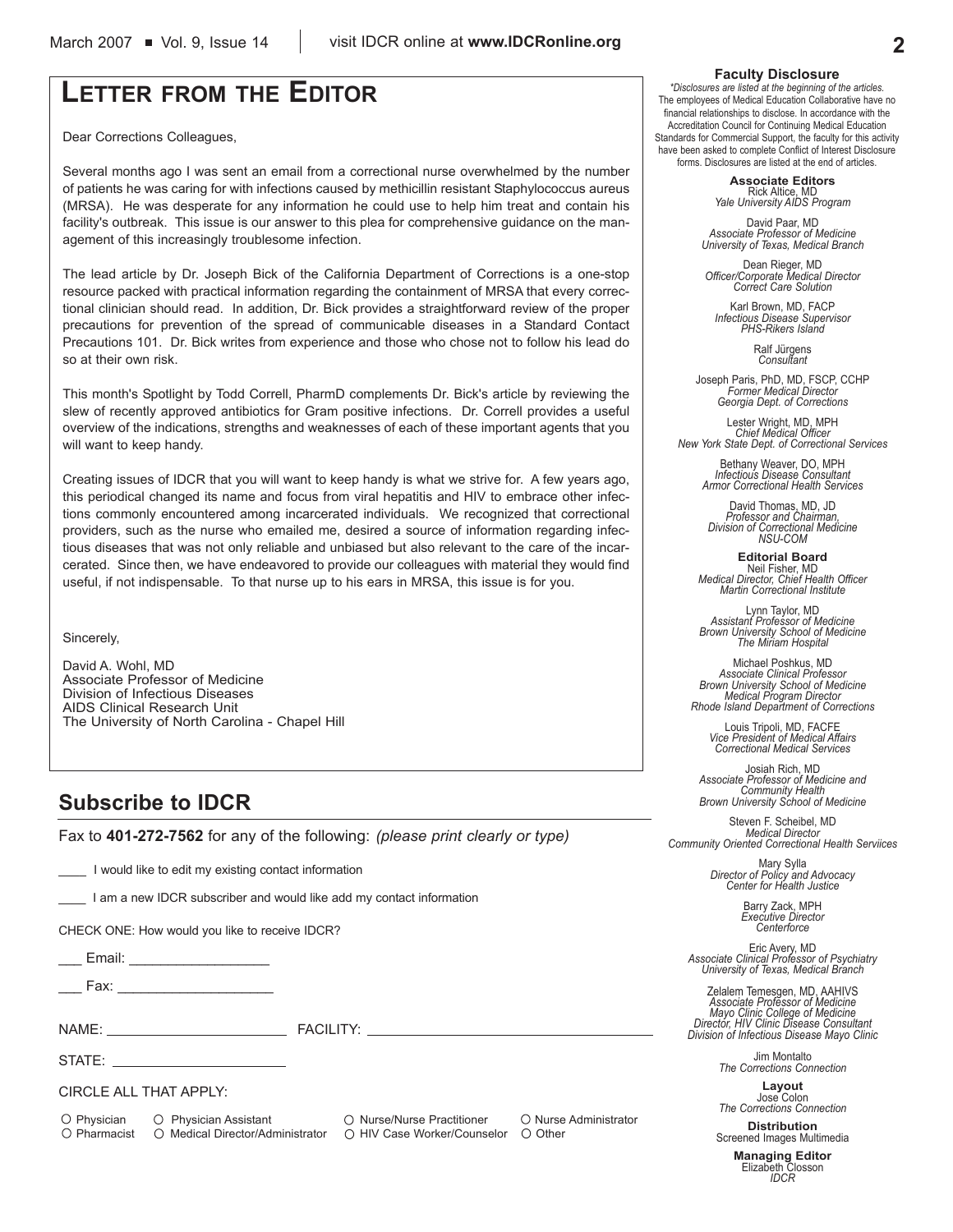# **LETTER FROM THE EDITOR**

Dear Corrections Colleagues,

Several months ago I was sent an email from a correctional nurse overwhelmed by the number of patients he was caring for with infections caused by methicillin resistant Staphylococcus aureus (MRSA). He was desperate for any information he could use to help him treat and contain his facility's outbreak. This issue is our answer to this plea for comprehensive guidance on the management of this increasingly troublesome infection.

The lead article by Dr. Joseph Bick of the California Department of Corrections is a one-stop resource packed with practical information regarding the containment of MRSA that every correctional clinician should read. In addition, Dr. Bick provides a straightforward review of the proper precautions for prevention of the spread of communicable diseases in a Standard Contact Precautions 101. Dr. Bick writes from experience and those who chose not to follow his lead do so at their own risk.

This month's Spotlight by Todd Correll, PharmD complements Dr. Bick's article by reviewing the slew of recently approved antibiotics for Gram positive infections. Dr. Correll provides a useful overview of the indications, strengths and weaknesses of each of these important agents that you will want to keep handy.

Creating issues of IDCR that you will want to keep handy is what we strive for. A few years ago, this periodical changed its name and focus from viral hepatitis and HIV to embrace other infections commonly encountered among incarcerated individuals. We recognized that correctional providers, such as the nurse who emailed me, desired a source of information regarding infectious diseases that was not only reliable and unbiased but also relevant to the care of the incarcerated. Since then, we have endeavored to provide our colleagues with material they would find useful, if not indispensable. To that nurse up to his ears in MRSA, this issue is for you.

Sincerely,

David A. Wohl, MD Associate Professor of Medicine Division of Infectious Diseases AIDS Clinical Research Unit The University of North Carolina - Chapel Hill

# **Subscribe to IDCR**

Fax to **401-272-7562** for any of the following: *(please print clearly or type)*

I would like to edit my existing contact information

\_\_\_\_ I am a new IDCR subscriber and would like add my contact information

CHECK ONE: How would you like to receive IDCR?

Email: **Email:**  $\blacksquare$ 

Fax:  $\overline{\phantom{a}}$ 

NAME: FACILITY:

STATE:

CIRCLE ALL THAT APPLY:

O Physician O Physician Assistant O Nurse/Nurse Practitioner O Nurse Administrator  $\bigcirc$  Pharmacist  $\bigcirc$  Medical Director/Administrator  $\bigcirc$  HIV Case Worker/Counselor  $\bigcirc$  Other

# **Faculty Disclosure**

*\*Disclosures are listed at the beginning of the articles.* The employees of Medical Education Collaborative have no financial relationships to disclose. In accordance with the Accreditation Council for Continuing Medical Education Standards for Commercial Support, the faculty for this activity have been asked to complete Conflict of Interest Disclosure forms. Disclosures are listed at the end of articles.

> **Associate Editors** Rick Altice, MD *Yale University AIDS Program*

David Paar, MD *Associate Professor of Medicine University of Texas, Medical Branch*

Dean Rieger, MD *Officer/Corporate Medical Director Correct Care Solution*

Karl Brown, MD, FACP *Infectious Disease Supervisor PHS-Rikers Island*

Ralf Jürgens *Consultant*

Joseph Paris, PhD, MD, FSCP, CCHP *Former Medical Director Georgia Dept. of Corrections*

Lester Wright, MD, MPH *Chief Medical Officer New York State Dept. of Correctional Services*

> Bethany Weaver, DO, MPH *Infectious Disease Consultant Armor Correctional Health Services*

David Thomas, MD, JD *Professor and Chairman, Division of Correctional Medicine NSU-COM*

**Editorial Board** Neil Fisher, MD *Medical Director, Chief Health Officer Martin Correctional Institute*

Lynn Taylor, MD *Assistant Professor of Medicine Brown University School of Medicine The Miriam Hospital*

Michael Poshkus, MD *Associate Clinical Professor Brown University School of Medicine Medical Program Director Rhode Island Department of Corrections*

Louis Tripoli, MD, FACFE *Vice President of Medical Affairs Correctional Medical Services*

Josiah Rich, MD *Associate Professor of Medicine and Community Health Brown University School of Medicine*

Steven F. Scheibel, MD *Medical Director Community Oriented Correctional Health Serviices*

Mary Sylla *Director of Policy and Advocacy Center for Health Justice*

Barry Zack, MPH *Executive Director Centerforce*

Eric Avery, MD *Associate Clinical Professor of Psychiatry University of Texas, Medical Branch*

Zelalem Temesgen, MD, AAHIVS *Associate Professor of Medicine Mayo Clinic College of Medicine Director, HIV Clinic Disease Consultant Division of Infectious Disease Mayo Clinic*

> Jim Montalto *The Corrections Connection*

**Layout** Jose Colon *The Corrections Connection*

**Distribution** Screened Images Multimedia

**Managing Editor** Elizabeth Closson *IDCR*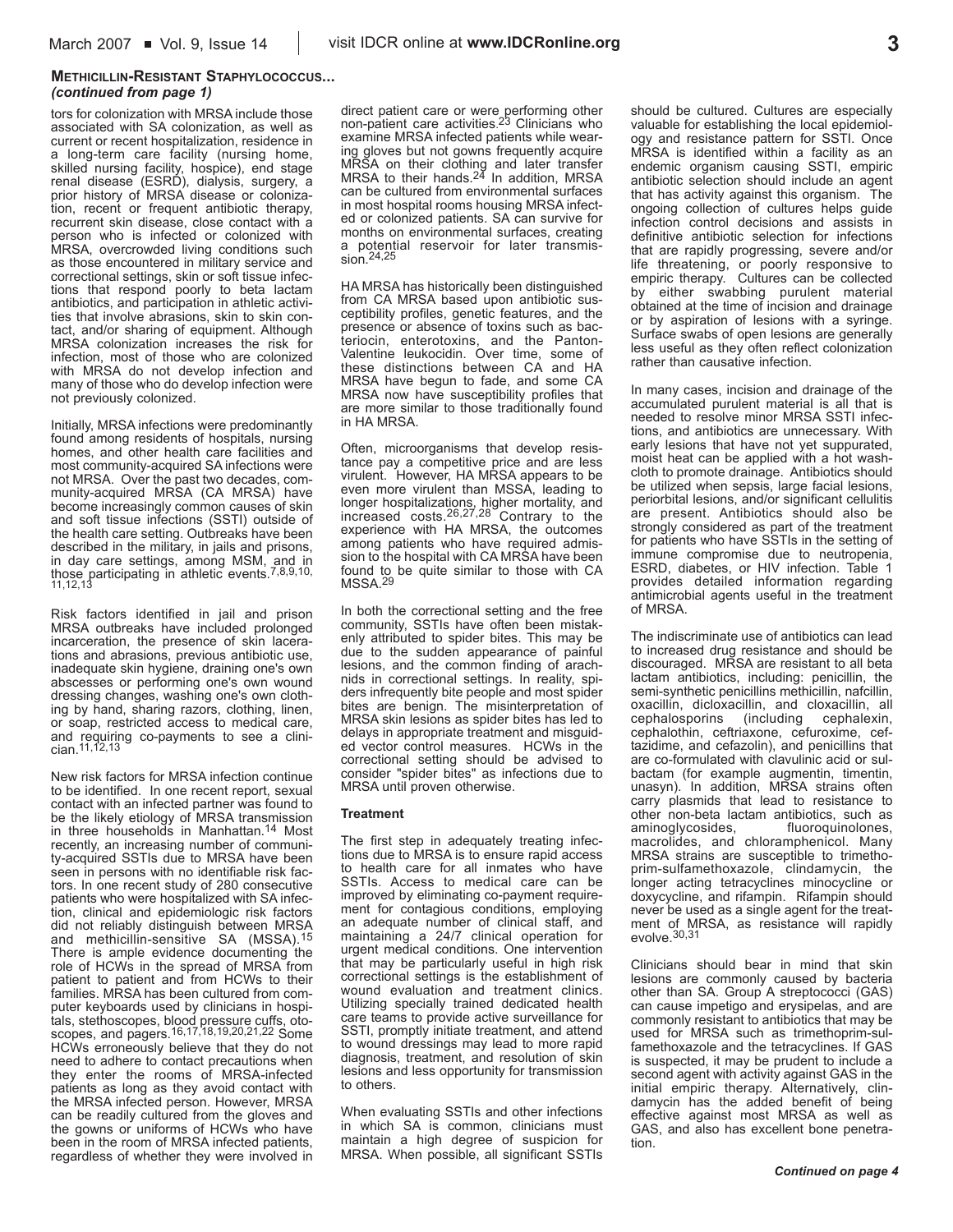# **METHICILLIN-RESISTANT STAPHYLOCOCCUS...** *(continued from page 1)*

tors for colonization with MRSA include those associated with SA colonization, as well as current or recent hospitalization, residence in a long-term care facility (nursing home, skilled nursing facility, hospice), end stage renal disease (ESRD), dialysis, surgery, a prior history of MRSA disease or colonization, recent or frequent antibiotic therapy, recurrent skin disease, close contact with a person who is infected or colonized with MRSA, overcrowded living conditions such as those encountered in military service and correctional settings, skin or soft tissue infections that respond poorly to beta lactam antibiotics, and participation in athletic activities that involve abrasions, skin to skin contact, and/or sharing of equipment. Although MRSA colonization increases the risk for infection, most of those who are colonized with MRSA do not develop infection and many of those who do develop infection were not previously colonized.

Initially, MRSA infections were predominantly found among residents of hospitals, nursing homes, and other health care facilities and most community-acquired SA infections were not MRSA. Over the past two decades, community-acquired MRSA (CA MRSA) have become increasingly common causes of skin and soft tissue infections (SSTI) outside of the health care setting. Outbreaks have been described in the military, in jails and prisons, in day care settings, among MSM, and in<br>those participating in athletic events.<sup>7,8,9,10,</sup><br>11,12,13

Risk factors identified in jail and prison MRSA outbreaks have included prolonged incarceration, the presence of skin lacerations and abrasions, previous antibiotic use, inadequate skin hygiene, draining one's own abscesses or performing one's own wound dressing changes, washing one's own clothing by hand, sharing razors, clothing, linen, or soap, restricted access to medical care, and requiring co-payments to see a clinician.11,12,13

New risk factors for MRSA infection continue to be identified. In one recent report, sexual contact with an infected partner was found to be the likely etiology of MRSA transmission in three households in Manhattan.14 Most recently, an increasing number of community-acquired SSTIs due to MRSA have been seen in persons with no identifiable risk factors. In one recent study of 280 consecutive patients who were hospitalized with SA infection, clinical and epidemiologic risk factors did not reliably distinguish between MRSA and methicillin-sensitive SA (MSSA).15 There is ample evidence documenting the role of HCWs in the spread of MRSA from patient to patient and from HCWs to their families. MRSA has been cultured from computer keyboards used by clinicians in hospitals, stethoscopes, blood pressure cuffs, oto-scopes, and pagers.16,17,18,19,20,21,22 Some HCWs erroneously believe that they do not need to adhere to contact precautions when they enter the rooms of MRSA-infected patients as long as they avoid contact with the MRSA infected person. However, MRSA can be readily cultured from the gloves and the gowns or uniforms of HCWs who have been in the room of MRSA infected patients, regardless of whether they were involved in

direct patient care or were performing other non-patient care activities. 23 Clinicians who examine MRSA infected patients while wearing gloves but not gowns frequently acquire MRSA on their clothing and later transfer MRSA to their hands.24 In addition, MRSA can be cultured from environmental surfaces in most hospital rooms housing MRSA infected or colonized patients. SA can survive for months on environmental surfaces, creating a potential reservoir for later transmission. 24, 25

HA MRSA has historically been distinguished from CA MRSA based upon antibiotic susceptibility profiles, genetic features, and the presence or absence of toxins such as bacteriocin, enterotoxins, and the Panton-Valentine leukocidin. Over time, some of these distinctions between CA and HA MRSA have begun to fade, and some CA MRSA now have susceptibility profiles that are more similar to those traditionally found in HA MRSA.

Often, microorganisms that develop resistance pay a competitive price and are less virulent. However, HA MRSA appears to be even more virulent than MSSA, leading to longer hospitalizations, higher mortality, and increased costs.26,27,28 Contrary to the experience with HA MRSA, the outcomes among patients who have required admission to the hospital with CA MRSA have been found to be quite similar to those with CA MSSA.29

In both the correctional setting and the free community, SSTIs have often been mistakenly attributed to spider bites. This may be due to the sudden appearance of painful lesions, and the common finding of arachnids in correctional settings. In reality, spiders infrequently bite people and most spider bites are benign. The misinterpretation of MRSA skin lesions as spider bites has led to delays in appropriate treatment and misguided vector control measures. HCWs in the correctional setting should be advised to consider "spider bites" as infections due to MRSA until proven otherwise.

# **Treatment**

The first step in adequately treating infections due to MRSA is to ensure rapid access to health care for all inmates who have SSTIs. Access to medical care can be improved by eliminating co-payment requirement for contagious conditions, employing an adequate number of clinical staff, and maintaining a 24/7 clinical operation for urgent medical conditions. One intervention that may be particularly useful in high risk correctional settings is the establishment of wound evaluation and treatment clinics. Utilizing specially trained dedicated health care teams to provide active surveillance for SSTI, promptly initiate treatment, and attend to wound dressings may lead to more rapid diagnosis, treatment, and resolution of skin lesions and less opportunity for transmission to others.

When evaluating SSTIs and other infections in which SA is common, clinicians must maintain a high degree of suspicion for MRSA. When possible, all significant SSTIs

should be cultured. Cultures are especially valuable for establishing the local epidemiology and resistance pattern for SSTI. Once MRSA is identified within a facility as an endemic organism causing SSTI, empiric antibiotic selection should include an agent that has activity against this organism. The ongoing collection of cultures helps guide infection control decisions and assists in definitive antibiotic selection for infections that are rapidly progressing, severe and/or life threatening, or poorly responsive to empiric therapy. Cultures can be collected by either swabbing purulent material obtained at the time of incision and drainage or by aspiration of lesions with a syringe. Surface swabs of open lesions are generally less useful as they often reflect colonization rather than causative infection.

In many cases, incision and drainage of the accumulated purulent material is all that is needed to resolve minor MRSA SSTI infections, and antibiotics are unnecessary. With early lesions that have not yet suppurated, moist heat can be applied with a hot washcloth to promote drainage. Antibiotics should be utilized when sepsis, large facial lesions, periorbital lesions, and/or significant cellulitis are present. Antibiotics should also be strongly considered as part of the treatment for patients who have SSTIs in the setting of immune compromise due to neutropenia, ESRD, diabetes, or HIV infection. Table 1 provides detailed information regarding antimicrobial agents useful in the treatment of MRSA.

The indiscriminate use of antibiotics can lead to increased drug resistance and should be discouraged. MRSA are resistant to all beta lactam antibiotics, including: penicillin, the semi-synthetic penicillins methicillin, nafcillin, oxacillin, dicloxacillin, and cloxacillin, all (including cephalexin, cephalothin, ceftriaxone, cefuroxime, ceftazidime, and cefazolin), and penicillins that are co-formulated with clavulinic acid or sulbactam (for example augmentin, timentin, unasyn). In addition, MRSA strains often carry plasmids that lead to resistance to other non-beta lactam antibiotics, such as aminoglycosides, fluoroquinolones, aminoglycosides, macrolides, and chloramphenicol. Many MRSA strains are susceptible to trimethoprim-sulfamethoxazole, clindamycin, the longer acting tetracyclines minocycline or doxycycline, and rifampin. Rifampin should never be used as a single agent for the treatment of MRSA, as resistance will rapidly evolve.30,31

Clinicians should bear in mind that skin lesions are commonly caused by bacteria other than SA. Group A streptococci (GAS) can cause impetigo and erysipelas, and are commonly resistant to antibiotics that may be used for MRSA such as trimethoprim-sulfamethoxazole and the tetracyclines. If GAS is suspected, it may be prudent to include a second agent with activity against GAS in the initial empiric therapy. Alternatively, clindamycin has the added benefit of being effective against most MRSA as well as GAS, and also has excellent bone penetration.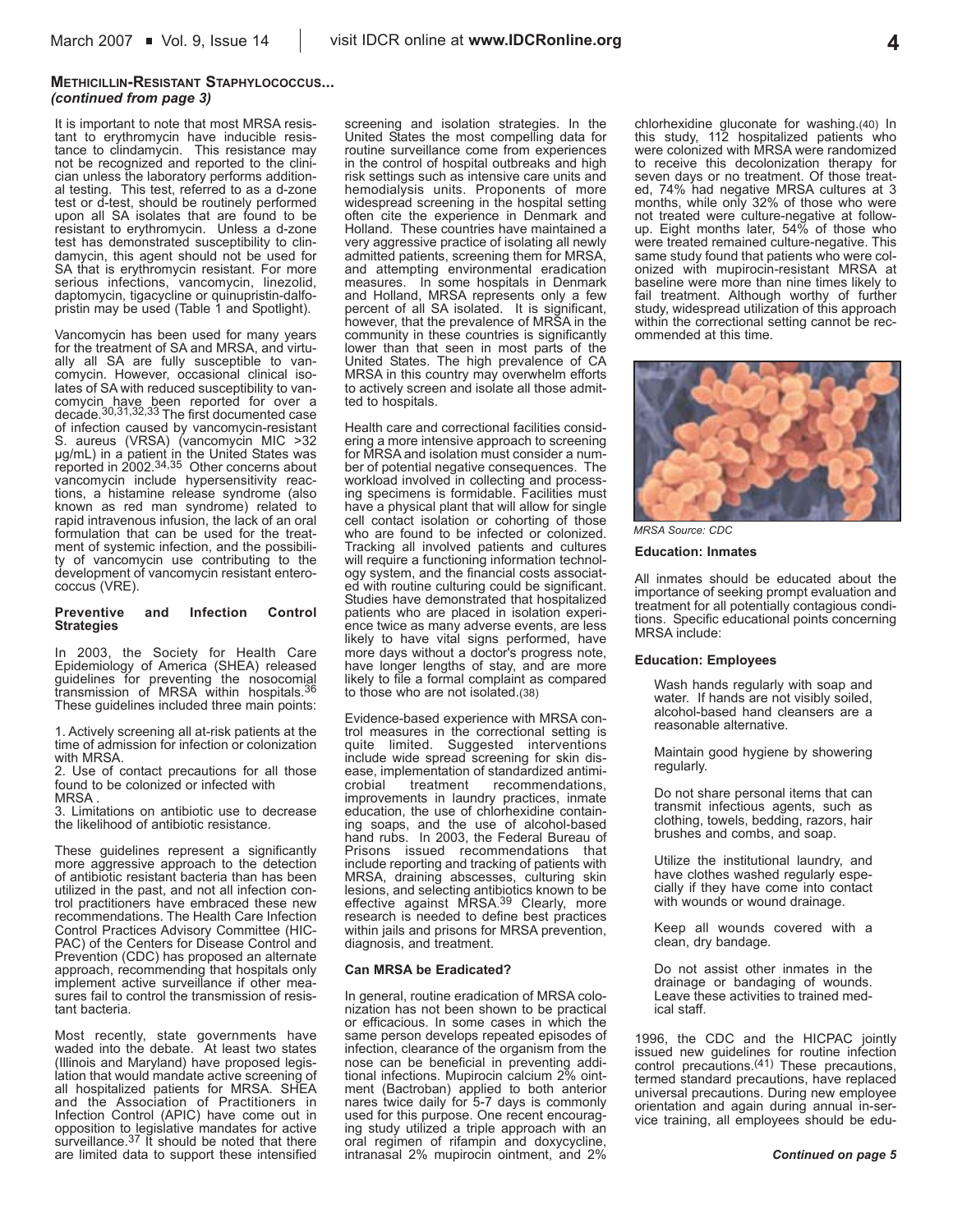# **METHICILLIN-RESISTANT STAPHYLOCOCCUS...** *(continued from page 3)*

It is important to note that most MRSA resistant to erythromycin have inducible resistance to clindamycin. This resistance may not be recognized and reported to the clinician unless the laboratory performs additional testing. This test, referred to as a d-zone test or d-test, should be routinely performed upon all SA isolates that are found to be resistant to erythromycin. Unless a d-zone test has demonstrated susceptibility to clindamycin, this agent should not be used for SA that is erythromycin resistant. For more serious infections, vancomycin, linezolid, daptomycin, tigacycline or quinupristin-dalfopristin may be used (Table 1 and Spotlight).

Vancomycin has been used for many years for the treatment of SA and MRSA, and virtually all SA are fully susceptible to vancomycin. However, occasional clinical isolates of SA with reduced susceptibility to vancomycin have been reported for over a decade.30,31,32,33 The first documented case of infection caused by vancomycin-resistant S. aureus (VRSA) (vancomycin MIC >32 µg/mL) in a patient in the United States was reported in 2002.34,35 Other concerns about vancomycin include hypersensitivity reactions, a histamine release syndrome (also known as red man syndrome) related to rapid intravenous infusion, the lack of an oral formulation that can be used for the treatment of systemic infection, and the possibility of vancomycin use contributing to the development of vancomycin resistant enterococcus (VRE).

#### **Preventive and Infection Control Strategies**

In 2003, the Society for Health Care Epidemiology of America (SHEA) released guidelines for preventing the nosocomial transmission of MRSA within hospitals.36 These guidelines included three main points:

1. Actively screening all at-risk patients at the time of admission for infection or colonization with MRSA.

2. Use of contact precautions for all those found to be colonized or infected with MRSA .

3. Limitations on antibiotic use to decrease the likelihood of antibiotic resistance.

These quidelines represent a significantly more aggressive approach to the detection of antibiotic resistant bacteria than has been utilized in the past, and not all infection control practitioners have embraced these new recommendations. The Health Care Infection Control Practices Advisory Committee (HIC-PAC) of the Centers for Disease Control and Prevention (CDC) has proposed an alternate approach, recommending that hospitals only implement active surveillance if other measures fail to control the transmission of resistant bacteria.

Most recently, state governments have waded into the debate. At least two states (Illinois and Maryland) have proposed legislation that would mandate active screening of all hospitalized patients for MRSA. SHEA and the Association of Practitioners in Infection Control (APIC) have come out in opposition to legislative mandates for active surveillance.37 It should be noted that there are limited data to support these intensified

screening and isolation strategies. In the United States the most compelling data for routine surveillance come from experiences in the control of hospital outbreaks and high risk settings such as intensive care units and hemodialysis units. Proponents of more widespread screening in the hospital setting often cite the experience in Denmark and Holland. These countries have maintained a very aggressive practice of isolating all newly admitted patients, screening them for MRSA, and attempting environmental eradication measures. In some hospitals in Denmark and Holland, MRSA represents only a few percent of all SA isolated. It is significant, however, that the prevalence of MRSA in the community in these countries is significantly lower than that seen in most parts of the United States. The high prevalence of CA MRSA in this country may overwhelm efforts to actively screen and isolate all those admitted to hospitals.

Health care and correctional facilities considering a more intensive approach to screening for MRSA and isolation must consider a number of potential negative consequences. The workload involved in collecting and processing specimens is formidable. Facilities must have a physical plant that will allow for single cell contact isolation or cohorting of those who are found to be infected or colonized. Tracking all involved patients and cultures will require a functioning information technology system, and the financial costs associated with routine culturing could be significant. Studies have demonstrated that hospitalized patients who are placed in isolation experience twice as many adverse events, are less likely to have vital signs performed, have more days without a doctor's progress note, have longer lengths of stay, and are more likely to file a formal complaint as compared to those who are not isolated.(38)

Evidence-based experience with MRSA control measures in the correctional setting is quite limited. Suggested interventions include wide spread screening for skin disease, implementation of standardized antimi-<br>crobial treatment recommendations. recommendations, improvements in laundry practices, inmate education, the use of chlorhexidine containing soaps, and the use of alcohol-based hand rubs. In 2003, the Federal Bureau of Prisons issued recommendations that include reporting and tracking of patients with MRSA, draining abscesses, culturing skin lesions, and selecting antibiotics known to be effective against MRSA.<sup>39</sup> Clearly, more research is needed to define best practices within jails and prisons for MRSA prevention, diagnosis, and treatment.

### **Can MRSA be Eradicated?**

In general, routine eradication of MRSA colonization has not been shown to be practical or efficacious. In some cases in which the same person develops repeated episodes of infection, clearance of the organism from the nose can be beneficial in preventing additional infections. Mupirocin calcium 2% ointment (Bactroban) applied to both anterior nares twice daily for 5-7 days is commonly used for this purpose. One recent encouraging study utilized a triple approach with an oral regimen of rifampin and doxycycline, intranasal 2% mupirocin ointment, and 2%

chlorhexidine gluconate for washing.(40) In this study, 112 hospitalized patients who were colonized with MRSA were randomized to receive this decolonization therapy for seven days or no treatment. Of those treated, 74% had negative MRSA cultures at 3 months, while only 32% of those who were not treated were culture-negative at followup. Eight months later, 54% of those who were treated remained culture-negative. This same study found that patients who were colonized with mupirocin-resistant MRSA at baseline were more than nine times likely to fail treatment. Although worthy of further study, widespread utilization of this approach within the correctional setting cannot be recommended at this time.



*MRSA Source: CDC*

#### **Education: Inmates**

All inmates should be educated about the importance of seeking prompt evaluation and treatment for all potentially contagious conditions. Specific educational points concerning MRSA include:

### **Education: Employees**

Wash hands regularly with soap and water. If hands are not visibly soiled, alcohol-based hand cleansers are a reasonable alternative.

Maintain good hygiene by showering regularly.

Do not share personal items that can transmit infectious agents, such as clothing, towels, bedding, razors, hair brushes and combs, and soap.

Utilize the institutional laundry, and have clothes washed regularly especially if they have come into contact with wounds or wound drainage.

Keep all wounds covered with a clean, dry bandage.

Do not assist other inmates in the drainage or bandaging of wounds. Leave these activities to trained medical staff.

1996, the CDC and the HICPAC jointly issued new guidelines for routine infection control precautions.(41) These precautions, termed standard precautions, have replaced universal precautions. During new employee orientation and again during annual in-service training, all employees should be edu-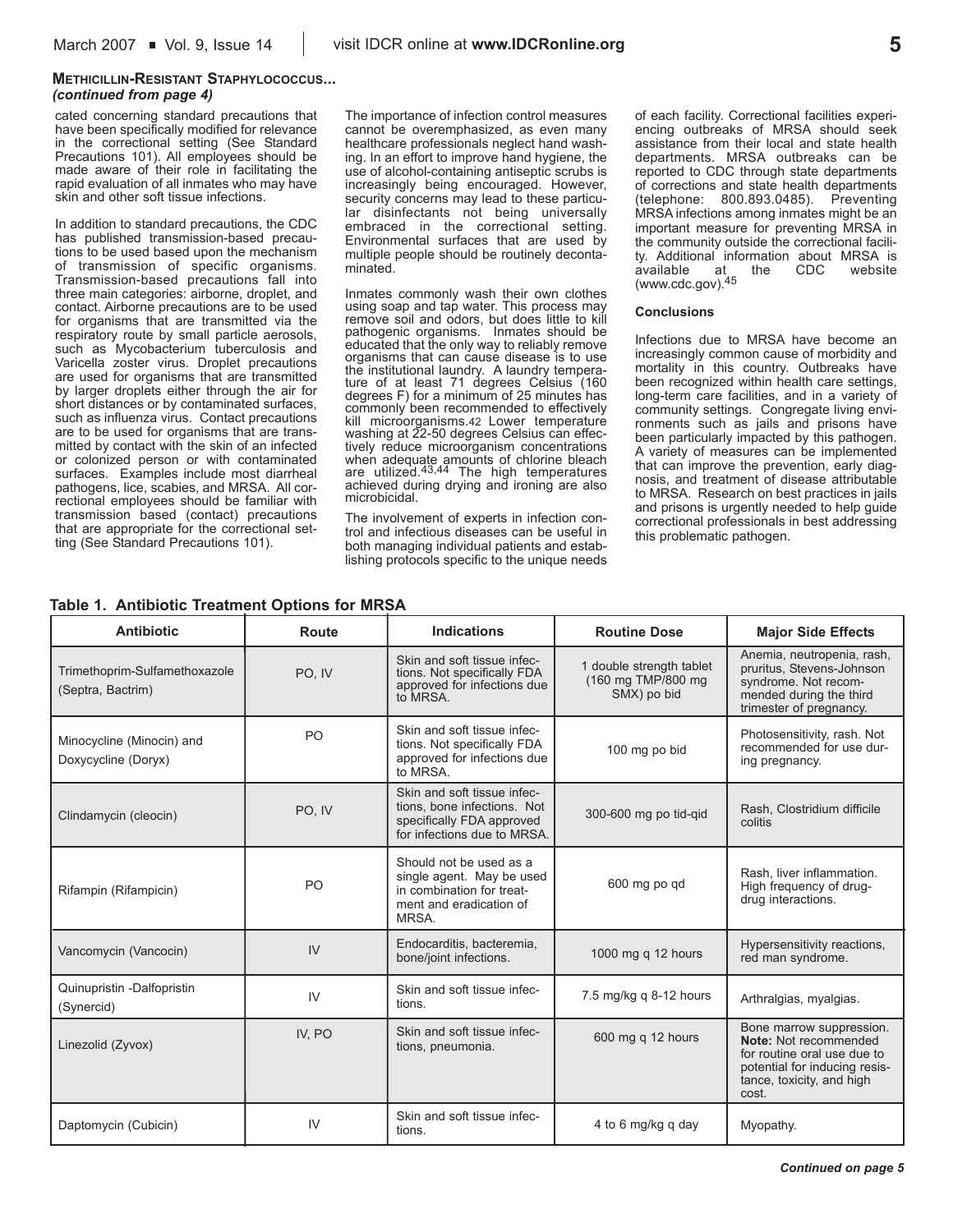# **METHICILLIN-RESISTANT STAPHYLOCOCCUS...** *(continued from page 4)*

cated concerning standard precautions that have been specifically modified for relevance in the correctional setting (See Standard Precautions 101). All employees should be made aware of their role in facilitating the rapid evaluation of all inmates who may have skin and other soft tissue infections.

In addition to standard precautions, the CDC has published transmission-based precautions to be used based upon the mechanism of transmission of specific organisms. Transmission-based precautions fall into three main categories: airborne, droplet, and contact. Airborne precautions are to be used for organisms that are transmitted via the respiratory route by small particle aerosols, such as Mycobacterium tuberculosis and Varicella zoster virus. Droplet precautions are used for organisms that are transmitted by larger droplets either through the air for short distances or by contaminated surfaces, such as influenza virus. Contact precautions are to be used for organisms that are transmitted by contact with the skin of an infected or colonized person or with contaminated surfaces. Examples include most diarrheal pathogens, lice, scabies, and MRSA. All correctional employees should be familiar with transmission based (contact) precautions that are appropriate for the correctional setting (See Standard Precautions 101).

The importance of infection control measures cannot be overemphasized, as even many healthcare professionals neglect hand washing. In an effort to improve hand hygiene, the use of alcohol-containing antiseptic scrubs is increasingly being encouraged. However, security concerns may lead to these particular disinfectants not being universally embraced in the correctional setting. Environmental surfaces that are used by multiple people should be routinely decontaminated.

Inmates commonly wash their own clothes using soap and tap water. This process may remove soil and odors, but does little to kill pathogenic organisms. Inmates should be educated that the only way to reliably remove organisms that can cause disease is to use the institutional laundry. A laundry temperature of at least 71 degrees Celsius (160 degrees F) for a minimum of 25 minutes has commonly been recommended to effectively kill microorganisms.42 Lower temperature washing at 22-50 degrees Celsius can effectively reduce microorganism concentrations when adequate amounts of chlorine bleach<br>are utilized.<sup>43,44</sup> The high temperatures achieved during drying and ironing are also microbicidal.

The involvement of experts in infection control and infectious diseases can be useful in both managing individual patients and establishing protocols specific to the unique needs

of each facility. Correctional facilities experiencing outbreaks of MRSA should seek assistance from their local and state health departments. MRSA outbreaks can be reported to CDC through state departments of corrections and state health departments (telephone: 800.893.0485). Preventing MRSA infections among inmates might be an important measure for preventing MRSA in the community outside the correctional facility. Additional information about MRSA is available at the CDC website (www.cdc.gov).45

# **Conclusions**

Infections due to MRSA have become an increasingly common cause of morbidity and mortality in this country. Outbreaks have been recognized within health care settings, long-term care facilities, and in a variety of community settings. Congregate living environments such as jails and prisons have been particularly impacted by this pathogen. A variety of measures can be implemented that can improve the prevention, early diagnosis, and treatment of disease attributable to MRSA. Research on best practices in jails and prisons is urgently needed to help guide correctional professionals in best addressing this problematic pathogen.

| <b>Antibiotic</b>                                  | <b>Route</b> | <b>Indications</b>                                                                                                     | <b>Routine Dose</b>                                           | <b>Major Side Effects</b>                                                                                                                               |
|----------------------------------------------------|--------------|------------------------------------------------------------------------------------------------------------------------|---------------------------------------------------------------|---------------------------------------------------------------------------------------------------------------------------------------------------------|
| Trimethoprim-Sulfamethoxazole<br>(Septra, Bactrim) | PO, IV       | Skin and soft tissue infec-<br>tions. Not specifically FDA<br>approved for infections due<br>to MRSA.                  | 1 double strength tablet<br>(160 mg TMP/800 mg<br>SMX) po bid | Anemia, neutropenia, rash,<br>pruritus, Stevens-Johnson<br>syndrome. Not recom-<br>mended during the third<br>trimester of pregnancy.                   |
| Minocycline (Minocin) and<br>Doxycycline (Doryx)   | PO           | Skin and soft tissue infec-<br>tions. Not specifically FDA<br>approved for infections due<br>to MRSA.                  | 100 mg po bid                                                 | Photosensitivity, rash. Not<br>recommended for use dur-<br>ing pregnancy.                                                                               |
| Clindamycin (cleocin)                              | PO, IV       | Skin and soft tissue infec-<br>tions, bone infections. Not<br>specifically FDA approved<br>for infections due to MRSA. | 300-600 mg po tid-qid                                         | Rash, Clostridium difficile<br>colitis                                                                                                                  |
| Rifampin (Rifampicin)                              | PO           | Should not be used as a<br>single agent. May be used<br>in combination for treat-<br>ment and eradication of<br>MRSA.  | 600 mg po gd                                                  | Rash. liver inflammation.<br>High frequency of drug-<br>drug interactions.                                                                              |
| Vancomycin (Vancocin)                              | IV           | Endocarditis, bacteremia,<br>bone/joint infections.                                                                    | 1000 mg q 12 hours                                            | Hypersensitivity reactions,<br>red man syndrome.                                                                                                        |
| Quinupristin -Dalfopristin<br>(Synercid)           | IV           | Skin and soft tissue infec-<br>tions.                                                                                  | 7.5 mg/kg q 8-12 hours                                        | Arthralgias, myalgias.                                                                                                                                  |
| Linezolid (Zyvox)                                  | IV, PO       | Skin and soft tissue infec-<br>tions, pneumonia.                                                                       | 600 mg q 12 hours                                             | Bone marrow suppression.<br>Note: Not recommended<br>for routine oral use due to<br>potential for inducing resis-<br>tance, toxicity, and high<br>cost. |
| Daptomycin (Cubicin)                               | IV           | Skin and soft tissue infec-<br>tions.                                                                                  | 4 to 6 mg/kg q day                                            | Myopathy.                                                                                                                                               |

# **Table 1. Antibiotic Treatment Options for MRSA**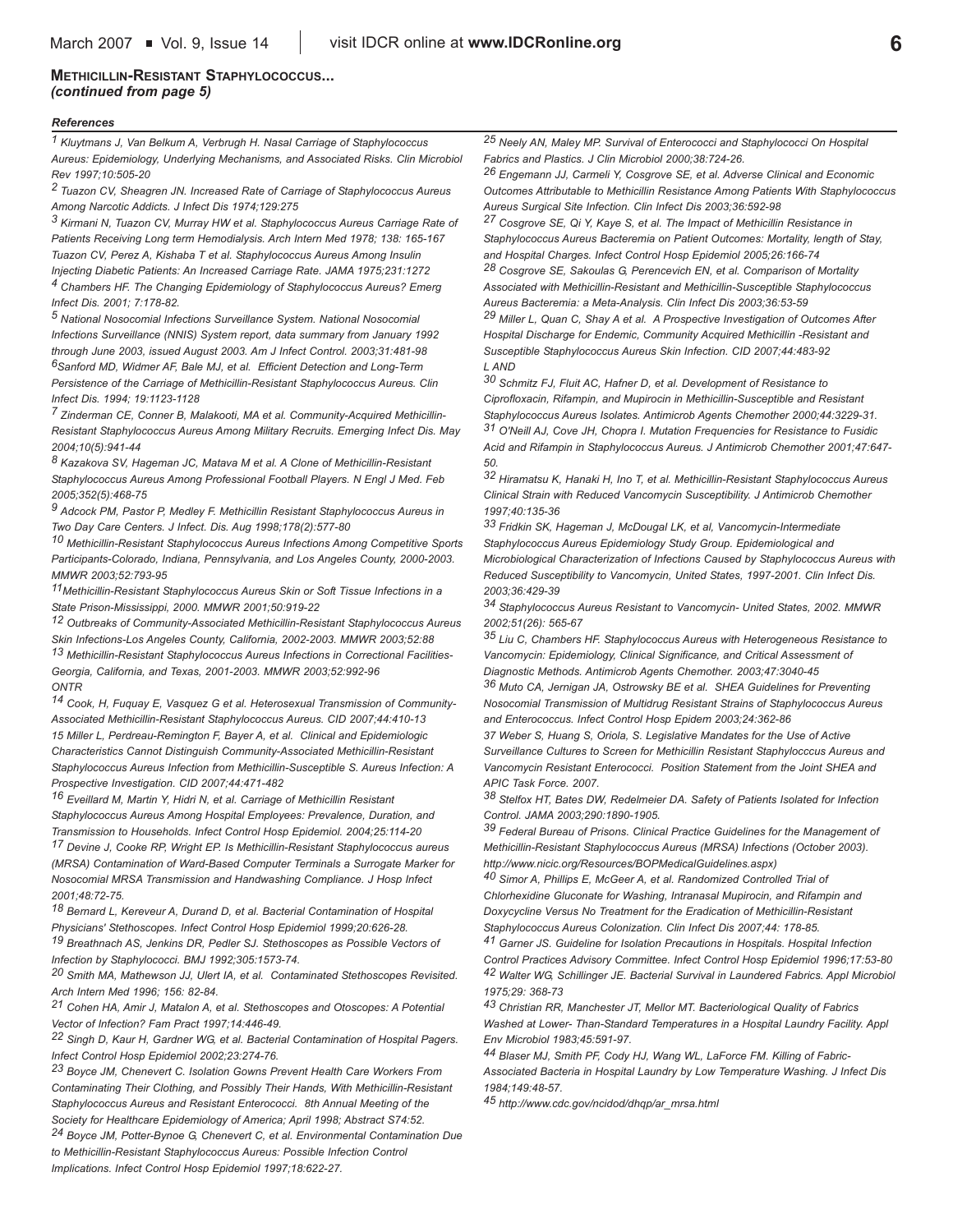# **METHICILLIN-RESISTANT STAPHYLOCOCCUS...** *(continued from page 5)*

#### *References*

*1 Kluytmans J, Van Belkum A, Verbrugh H. Nasal Carriage of Staphylococcus Aureus: Epidemiology, Underlying Mechanisms, and Associated Risks. Clin Microbiol Rev 1997;10:505-20* 

*2 Tuazon CV, Sheagren JN. Increased Rate of Carriage of Staphylococcus Aureus Among Narcotic Addicts. J Infect Dis 1974;129:275* 

*3 Kirmani N, Tuazon CV, Murray HW et al. Staphylococcus Aureus Carriage Rate of Patients Receiving Long term Hemodialysis. Arch Intern Med 1978; 138: 165-167 Tuazon CV, Perez A, Kishaba T et al. Staphylococcus Aureus Among Insulin Injecting Diabetic Patients: An Increased Carriage Rate. JAMA 1975;231:1272 4 Chambers HF. The Changing Epidemiology of Staphylococcus Aureus? Emerg Infect Dis. 2001; 7:178-82.*

*5 National Nosocomial Infections Surveillance System. National Nosocomial Infections Surveillance (NNIS) System report, data summary from January 1992 through June 2003, issued August 2003. Am J Infect Control. 2003;31:481-98 6Sanford MD, Widmer AF, Bale MJ, et al. Efficient Detection and Long-Term Persistence of the Carriage of Methicillin-Resistant Staphylococcus Aureus. Clin Infect Dis. 1994; 19:1123-1128* 

*7 Zinderman CE, Conner B, Malakooti, MA et al. Community-Acquired Methicillin-Resistant Staphylococcus Aureus Among Military Recruits. Emerging Infect Dis. May 2004;10(5):941-44*

*8 Kazakova SV, Hageman JC, Matava M et al. A Clone of Methicillin-Resistant Staphylococcus Aureus Among Professional Football Players. N Engl J Med. Feb 2005;352(5):468-75*

*9 Adcock PM, Pastor P, Medley F. Methicillin Resistant Staphylococcus Aureus in Two Day Care Centers. J Infect. Dis. Aug 1998;178(2):577-80*

*10 Methicillin-Resistant Staphylococcus Aureus Infections Among Competitive Sports Participants-Colorado, Indiana, Pennsylvania, and Los Angeles County, 2000-2003. MMWR 2003;52:793-95*

*11Methicillin-Resistant Staphylococcus Aureus Skin or Soft Tissue Infections in a State Prison-Mississippi, 2000. MMWR 2001;50:919-22* 

*12 Outbreaks of Community-Associated Methicillin-Resistant Staphylococcus Aureus Skin Infections-Los Angeles County, California, 2002-2003. MMWR 2003;52:88*

*13 Methicillin-Resistant Staphylococcus Aureus Infections in Correctional Facilities-Georgia, California, and Texas, 2001-2003. MMWR 2003;52:992-96 ONTR*

*14 Cook, H, Fuquay E, Vasquez G et al. Heterosexual Transmission of Community-Associated Methicillin-Resistant Staphylococcus Aureus. CID 2007;44:410-13 15 Miller L, Perdreau-Remington F, Bayer A, et al. Clinical and Epidemiologic Characteristics Cannot Distinguish Community-Associated Methicillin-Resistant Staphylococcus Aureus Infection from Methicillin-Susceptible S. Aureus Infection: A Prospective Investigation. CID 2007;44:471-482*

*16 Eveillard M, Martin Y, Hidri N, et al. Carriage of Methicillin Resistant Staphylococcus Aureus Among Hospital Employees: Prevalence, Duration, and Transmission to Households. Infect Control Hosp Epidemiol. 2004;25:114-20 17 Devine J, Cooke RP, Wright EP. Is Methicillin-Resistant Staphylococcus aureus (MRSA) Contamination of Ward-Based Computer Terminals a Surrogate Marker for*

*Nosocomial MRSA Transmission and Handwashing Compliance. J Hosp Infect 2001;48:72-75.*

*18 Bernard L, Kereveur A, Durand D, et al. Bacterial Contamination of Hospital Physicians' Stethoscopes. Infect Control Hosp Epidemiol 1999;20:626-28. 19 Breathnach AS, Jenkins DR, Pedler SJ. Stethoscopes as Possible Vectors of Infection by Staphylococci. BMJ 1992;305:1573-74.*

*20 Smith MA, Mathewson JJ, Ulert IA, et al. Contaminated Stethoscopes Revisited. Arch Intern Med 1996; 156: 82-84.*

*21 Cohen HA, Amir J, Matalon A, et al. Stethoscopes and Otoscopes: A Potential Vector of Infection? Fam Pract 1997;14:446-49.*

*22 Singh D, Kaur H, Gardner WG, et al. Bacterial Contamination of Hospital Pagers. Infect Control Hosp Epidemiol 2002;23:274-76.*

*23 Boyce JM, Chenevert C. Isolation Gowns Prevent Health Care Workers From Contaminating Their Clothing, and Possibly Their Hands, With Methicillin-Resistant Staphylococcus Aureus and Resistant Enterococci. 8th Annual Meeting of the Society for Healthcare Epidemiology of America; April 1998; Abstract S74:52. 24 Boyce JM, Potter-Bynoe G, Chenevert C, et al. Environmental Contamination Due to Methicillin-Resistant Staphylococcus Aureus: Possible Infection Control Implications. Infect Control Hosp Epidemiol 1997;18:622-27.*

*25 Neely AN, Maley MP. Survival of Enterococci and Staphylococci On Hospital Fabrics and Plastics. J Clin Microbiol 2000;38:724-26.*

*26 Engemann JJ, Carmeli Y, Cosgrove SE, et al. Adverse Clinical and Economic Outcomes Attributable to Methicillin Resistance Among Patients With Staphylococcus Aureus Surgical Site Infection. Clin Infect Dis 2003;36:592-98*

*27 Cosgrove SE, Qi Y, Kaye S, et al. The Impact of Methicillin Resistance in Staphylococcus Aureus Bacteremia on Patient Outcomes: Mortality, length of Stay, and Hospital Charges. Infect Control Hosp Epidemiol 2005;26:166-74*

*28 Cosgrove SE, Sakoulas G, Perencevich EN, et al. Comparison of Mortality Associated with Methicillin-Resistant and Methicillin-Susceptible Staphylococcus Aureus Bacteremia: a Meta-Analysis. Clin Infect Dis 2003;36:53-59*

*29 Miller L, Quan C, Shay A et al. A Prospective Investigation of Outcomes After Hospital Discharge for Endemic, Community Acquired Methicillin -Resistant and Susceptible Staphylococcus Aureus Skin Infection. CID 2007;44:483-92 L AND*

*30 Schmitz FJ, Fluit AC, Hafner D, et al. Development of Resistance to Ciprofloxacin, Rifampin, and Mupirocin in Methicillin-Susceptible and Resistant Staphylococcus Aureus Isolates. Antimicrob Agents Chemother 2000;44:3229-31. 31 O'Neill AJ, Cove JH, Chopra I. Mutation Frequencies for Resistance to Fusidic Acid and Rifampin in Staphylococcus Aureus. J Antimicrob Chemother 2001;47:647- 50.*

*32 Hiramatsu K, Hanaki H, Ino T, et al. Methicillin-Resistant Staphylococcus Aureus Clinical Strain with Reduced Vancomycin Susceptibility. J Antimicrob Chemother 1997;40:135-36*

*33 Fridkin SK, Hageman J, McDougal LK, et al, Vancomycin-Intermediate Staphylococcus Aureus Epidemiology Study Group. Epidemiological and Microbiological Characterization of Infections Caused by Staphylococcus Aureus with Reduced Susceptibility to Vancomycin, United States, 1997-2001. Clin Infect Dis. 2003;36:429-39*

*34 Staphylococcus Aureus Resistant to Vancomycin- United States, 2002. MMWR 2002;51(26): 565-67*

*35 Liu C, Chambers HF. Staphylococcus Aureus with Heterogeneous Resistance to Vancomycin: Epidemiology, Clinical Significance, and Critical Assessment of Diagnostic Methods. Antimicrob Agents Chemother. 2003;47:3040-45* 

*36 Muto CA, Jernigan JA, Ostrowsky BE et al. SHEA Guidelines for Preventing Nosocomial Transmission of Multidrug Resistant Strains of Staphylococcus Aureus and Enterococcus. Infect Control Hosp Epidem 2003;24:362-86* 

*37 Weber S, Huang S, Oriola, S. Legislative Mandates for the Use of Active Surveillance Cultures to Screen for Methicillin Resistant Staphylocccus Aureus and Vancomycin Resistant Enterococci. Position Statement from the Joint SHEA and APIC Task Force. 2007.*

*38 Stelfox HT, Bates DW, Redelmeier DA. Safety of Patients Isolated for Infection Control. JAMA 2003;290:1890-1905.*

*39 Federal Bureau of Prisons. Clinical Practice Guidelines for the Management of Methicillin-Resistant Staphylococcus Aureus (MRSA) Infections (October 2003). http://www.nicic.org/Resources/BOPMedicalGuidelines.aspx)* 

*40 Simor A, Phillips E, McGeer A, et al. Randomized Controlled Trial of Chlorhexidine Gluconate for Washing, Intranasal Mupirocin, and Rifampin and Doxycycline Versus No Treatment for the Eradication of Methicillin-Resistant Staphylococcus Aureus Colonization. Clin Infect Dis 2007;44: 178-85.*

*41 Garner JS. Guideline for Isolation Precautions in Hospitals. Hospital Infection Control Practices Advisory Committee. Infect Control Hosp Epidemiol 1996;17:53-80 42 Walter WG, Schillinger JE. Bacterial Survival in Laundered Fabrics. Appl Microbiol 1975;29: 368-73*

*43 Christian RR, Manchester JT, Mellor MT. Bacteriological Quality of Fabrics Washed at Lower- Than-Standard Temperatures in a Hospital Laundry Facility. Appl Env Microbiol 1983;45:591-97.*

*44 Blaser MJ, Smith PF, Cody HJ, Wang WL, LaForce FM. Killing of Fabric-Associated Bacteria in Hospital Laundry by Low Temperature Washing. J Infect Dis 1984;149:48-57.*

*45 http://www.cdc.gov/ncidod/dhqp/ar\_mrsa.html*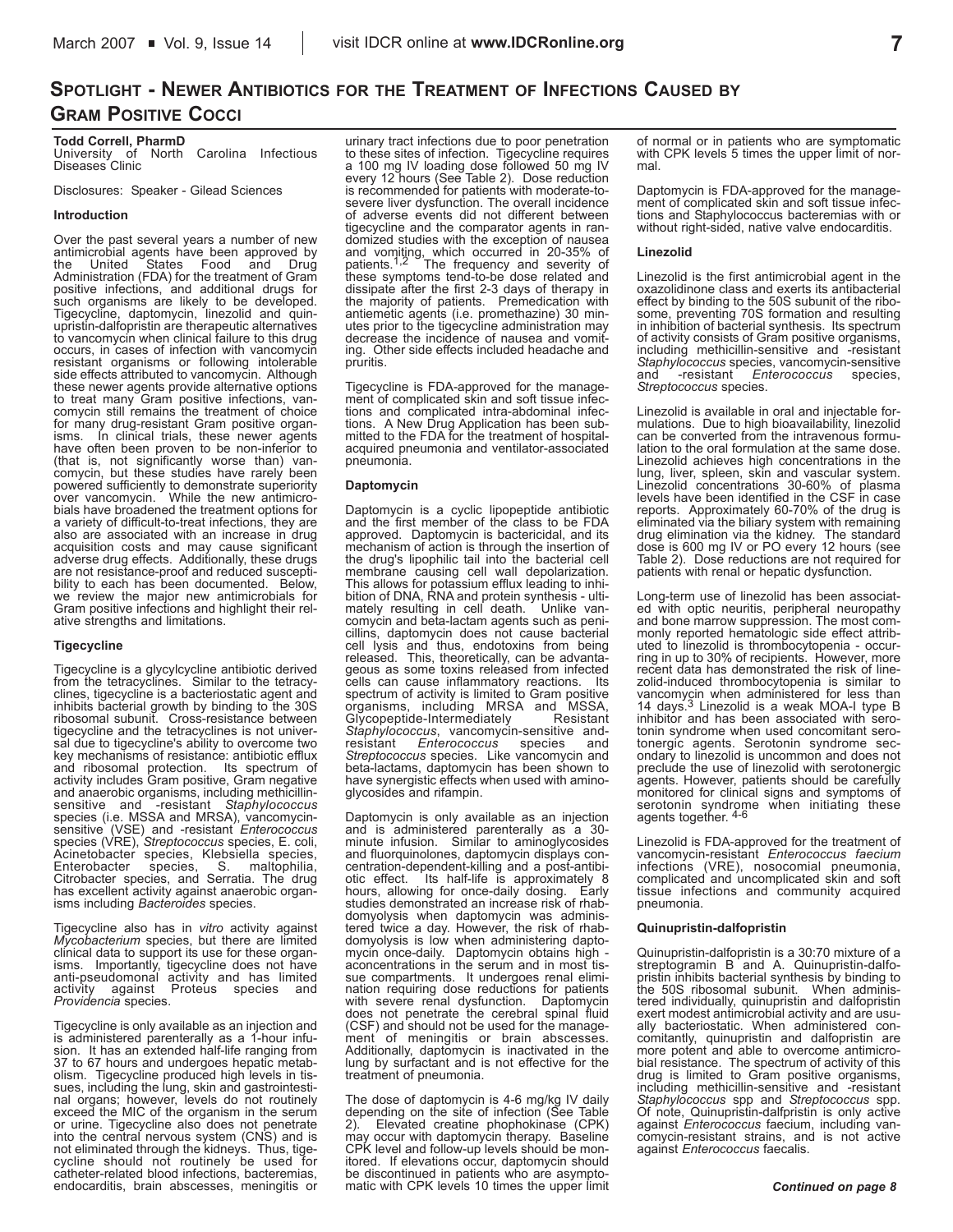# **SPOTLIGHT - NEWER ANTIBIOTICS FOR THE TREATMENT OF INFECTIONS CAUSED BY GRAM POSITIVE COCCI**

**Todd Correll, PharmD** University of North Carolina Infectious Diseases Clinic

Disclosures: Speaker - Gilead Sciences

### **Introduction**

Over the past several years a number of new antimicrobial agents have been approved by the United States Food and Drug Administration (FDA) for the treatment of Gram positive infections, and additional drugs for such organisms are likely to be developed. Tigecycline, daptomycin, linezolid and quin-upristin-dalfopristin are therapeutic alternatives to vancomycin when clinical failure to this drug occurs, in cases of infection with vancomycin resistant organisms or following intolerable side effects attributed to vancomycin. Although these newer agents provide alternative options to treat many Gram positive infections, vancomycin still remains the treatment of choice for many drug-resistant Gram positive organisms. In clinical trials, these newer agents<br>have often been proven to be non-inferior to (that is, not significantly worse than) van-comycin, but these studies have rarely been powered sufficiently to demonstrate superiority over vancomycin. While the new antimicro-bials have broadened the treatment options for a variety of difficult-to-treat infections, they are also are associated with an increase in drug acquisition costs and may cause significant adverse drug effects. Additionally, these drugs are not resistance-proof and reduced suscepti-bility to each has been documented. Below, we review the major new antimicrobials for<br>Gram positive infections and highlight their relative strengths and limitations.

### **Tigecycline**

Tigecycline is a glycylcycline antibiotic derived from the tetracyclines. Similar to the tetracy-clines, tigecycline is a bacteriostatic agent and inhibits bacterial growth by binding to the 30S ribosomal subunit. Cross-resistance between tigecycline and the tetracyclines is not univer-sal due to tigecycline's ability to overcome two key mechanisms of resistance: antibiotic efflux and ribosomal protection. Its spectrum of activity includes Gram positive, Gram negative and anaerobic organisms, including methicillinsensitive and -resistant *Staphylococcus*<br>species (i.e. MSSA and MRSA), vancomycinsensitive (VSE) and -resistant *Enterococcus* species (VRE), *Streptococcus* species, E. coli, Acinetobacter species, Klebsiella species, Enterobacter species, S. maltophilia, Citrobacter species, and Serratia. The drug has excellent activity against anaerobic organisms including *Bacteroides* species.

Tigecycline also has in *vitro* activity against *Mycobacterium* species, but there are limited clinical data to support its use for these organisms. Importantly, tigecycline does not have anti-pseudomonal activity and has limited activity against Proteus species and *Providencia* species.

Tigecycline is only available as an injection and is administered parenterally as a 1-hour infu-sion. It has an extended half-life ranging from 37 to 67 hours and undergoes hepatic metabolism. Tigecycline produced high levels in tis-sues, including the lung, skin and gastrointestinal organs; however, levels do not routinely exceed the MIC of the organism in the serum or urine. Tigecycline also does not penetrate into the central nervous system (CNS) and is not eliminated through the kidneys. Thus, tige-cycline should not routinely be used for catheter-related blood infections, bacteremias, endocarditis, brain abscesses, meningitis or

urinary tract infections due to poor penetration to these sites of infection. Tigecycline requires a 100 mg IV loading dose followed 50 mg IV every 12 hours (See Table 2). Dose reduction is recommended for patients with moderate-tosevere liver dysfunction. The overall incidence of adverse events did not different between tigecycline and the comparator agents in ran-domized studies with the exception of nausea and vomiting, which occurred in 20-35% of patients.<sup>1,2</sup> The frequency and severity of these symptoms tend-to-be dose related and dissipate after the first 2-3 days of therapy in the majority of patients. Premedication wit antiemetic agents (i.e. promethazine) 30 min-utes prior to the tigecycline administration may decrease the incidence of nausea and vomiting. Other side effects included headache and pruritis.

Tigecycline is FDA-approved for the manage-ment of complicated skin and soft tissue infections and complicated intra-abdominal infec-tions. A New Drug Application has been sub-mitted to the FDA for the treatment of hospital-acquired pneumonia and ventilator-associated pneumonia.

# **Daptomycin**

Daptomycin is a cyclic lipopeptide antibiotic and the first member of the class to be FDA approved. Daptomycin is bactericidal, and its mechanism of action is through the insertion of the drug's lipophilic tail into the bacterial cell membrane causing cell wall depolarization.<br>This allows for potassium efflux leading to inhi-<br>bition of DNA, RNA and protein synthesis - ulti-<br>mately resulting in cell death. Unlike van-<br>comycin and beta-lactam agents such cell lysis and thus, endotoxins from being released. This, theoretically, can be advantageous as some toxins released from infected cells can cause inflammatory reactions. Its spectrum of activity is limited to Gram positive organisms, including MRSA and MSSA, Glycopeptide-Intermediately Resistant *Staphylococcus*, vancomycin-sensitive and-resistant *Enterococcus* species and *Streptococcus* species. Like vancomycin and beta-lactams, daptomycin has been shown to have synergistic effects when used with aminoglycosides and rifampin.

Daptomycin is only available as an injection and is administered parenterally as a 30-<br>minute infusion. Similar to aminoglycosides and fluorquinolones, daptomycin displays concentration-dependent-killing and a post-antibi-otic effect. Its half-life is approximately 8 hours, allowing for once-daily dosing. Early studies demonstrated an increase risk of rhabdomyolysis when daptomycin was administered twice a day. However, the risk of rhabdomyolysis is low when administering dapto-mycin once-daily. Daptomycin obtains high aconcentrations in the serum and in most tis-sue compartments. It undergoes renal elimination requiring dose reductions for patients with severe renal dysfunction. Daptomycin does not penetrate the cerebral spinal fluid (CSF) and should not be used for the management of meningitis or brain abscesses. Additionally, daptomycin is inactivated in the lung by surfactant and is not effective for the treatment of pneumonia.

The dose of daptomycin is 4-6 mg/kg IV daily depending on the site of infection (See Table 2). Elevated creatine phophokinase (CPK) may occur with daptomycin therapy. Baseline CPK level and follow-up levels should be monitored. If elevations occur, daptomycin should be discontinued in patients who are asymptomatic with CPK levels 10 times the upper limit of normal or in patients who are symptomatic with CPK levels 5 times the upper limit of normal.

Daptomycin is FDA-approved for the management of complicated skin and soft tissue infec-tions and Staphylococcus bacteremias with or without right-sided, native valve endocarditis.

### **Linezolid**

Linezolid is the first antimicrobial agent in the oxazolidinone class and exerts its antibacterial effect by binding to the 50S subunit of the ribo-some, preventing 70S formation and resulting in inhibition of bacterial synthesis. Its spectrum of activity consists of Gram positive organisms, including methicillin-sensitive and -resistant *Staphylococcus* species, vancomycin-sensitive and -resistant *Enterococcus* species, *Streptococcus* species.

Linezolid is available in oral and injectable for-mulations. Due to high bioavailability, linezolid can be converted from the intravenous formulation to the oral formulation at the same dose. Linezolid achieves high concentrations in the lung, liver, spleen, skin and vascular system. Linezolid concentrations 30-60% of plasma levels have been identified in the CSF in case reports. Approximately 60-70% of the drug is<br>eliminated via the biliary system with remaining<br>drug elimination via the kidney. The standard<br>dose is 600 mg IV or PO every 12 hours (see<br>Table 2). Dose reductions are not requ patients with renal or hepatic dysfunction.

Long-term use of linezolid has been associat-ed with optic neuritis, peripheral neuropathy and bone marrow suppression. The most commonly reported hematologic side effect attributed to linezolid is thrombocytopenia - occur-ring in up to 30% of recipients. However, more recent data has demonstrated the risk of linezolid-induced thrombocytopenia is similar to vancomycin when administered for less than<br>14 days.<sup>3</sup> Linezolid is a weak MOA-I type B inhibitor and has been associated with serotonin syndrome when used concomitant serotonergic agents. Serotonin syndrome secondary to linezolid is uncommon and does not preclude the use of linezolid with serotonergic agents. However, patients should be carefully monitored for clinical signs and symptoms of serotonin syndrome when initiating these<br>agents.together.<sup>4-6</sup>

Linezolid is FDA-approved for the treatment of vancomycin-resistant *Enterococcus faecium* infections (VRE), nosocomial pneumonia, complicated and uncomplicated skin and soft tissue infections and community acquired pneumonia.

### **Quinupristin-dalfopristin**

Quinupristin-dalfopristin is a 30:70 mixture of a streptogramin B and A. Quinupristin-dalfopristin inhibits bacterial synthesis by binding to the 50S ribosomal subunit. When administered individually, quinupristin and dalfopristin exert modest antimicrobial activity and are usu-ally bacteriostatic. When administered concomitantly, quinupristin and dalfopristin are more potent and able to overcome antimicro-bial resistance. The spectrum of activity of this drug is limited to Gram positive organisms, including methicillin-sensitive and -resistant *Staphylococcus* spp and *Streptococcus* spp. Of note, Quinupristin-dalfpristin is only active against *Enterococcus* faecium, including vancomycin-resistant strains, and is not active against *Enterococcus* faecalis.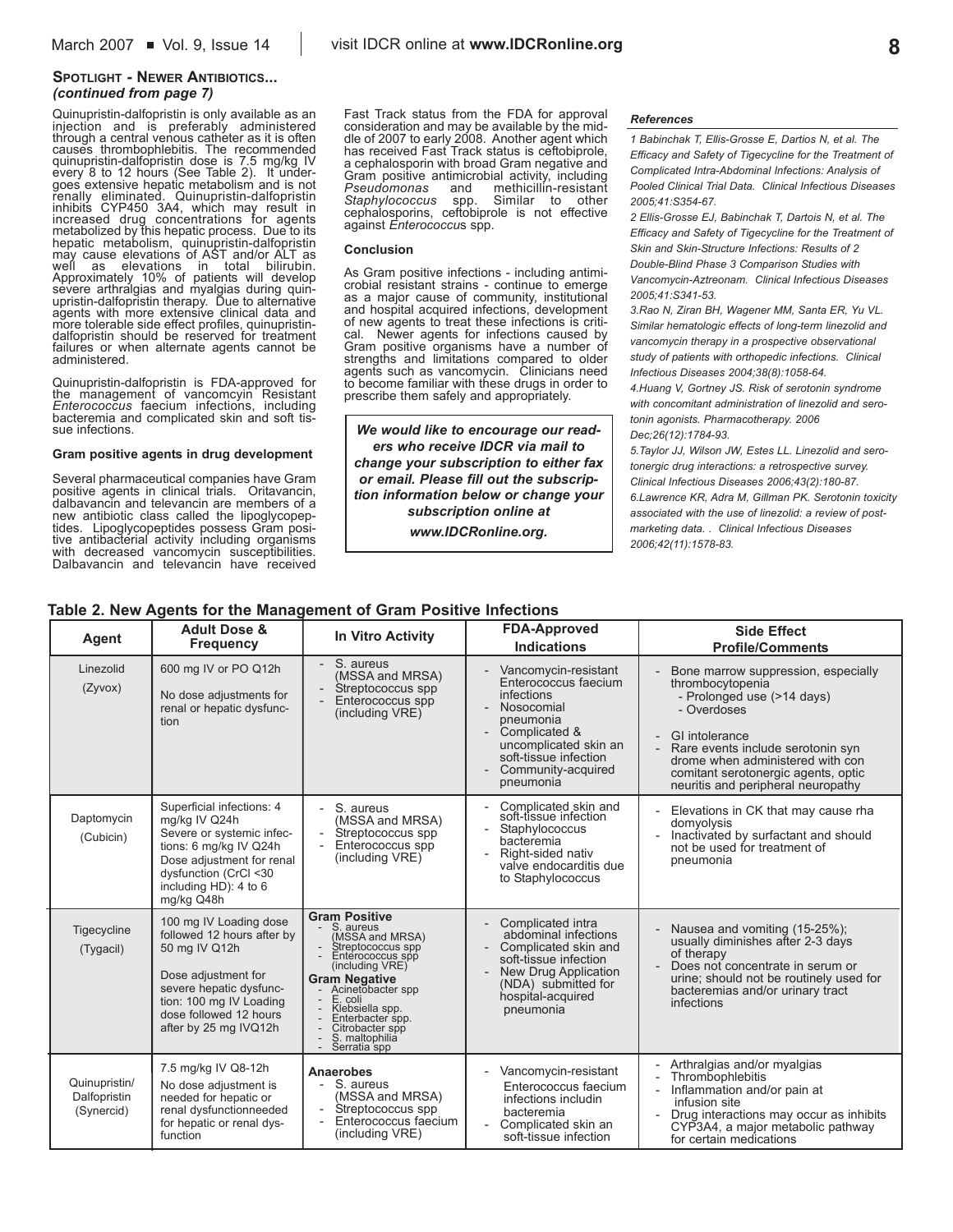# **SPOTLIGHT - NEWER ANTIBIOTICS...** *(continued from page 7)*

Quinupristin-dalfopristin is only available as an injection and is preferably administered through a central venous catheter as it is often causes thrombophlebitis. The recommended quinupristin-dalfopristin dose is 7.5 mg/kg IV every 8 to 12 hours (See Table 2). It undergoes extensive hepatic metabolism and is not renally eliminated. Quinupristin-dalfopristin inhibits CYP450 3A4, which may result in increased drug concentrations for agents metabolized by this hepatic process. Due to its hepatic metabolism, quinupristin-dalfopristin may cause elevations of AST and/or ALT as well as elevations in total bilirubin. Approximately 10% of patients will develop severe arthralgias and myalgias during quin-upristin-dalfopristin therapy. Due to alternative agents with more extensive clinical data and more tolerable side effect profiles, quinupristindalfopristin should be reserved for treatment failures or when alternate agents cannot be administered.

Quinupristin-dalfopristin is FDA-approved for the management of vancomcyin Resistant *Enterococcus* faecium infections, including bacteremia and complicated skin and soft tissue infections.

### **Gram positive agents in drug development**

Several pharmaceutical companies have Gram positive agents in clinical trials. Oritavancin, dalbavancin and televancin are members of a new antibiotic class called the lipoglycopeptides. Lipoglycopeptides possess Gram positive antibacterial activity including organisms with decreased vancomycin susceptibilities. Dalbavancin and televancin have received

Fast Track status from the FDA for approval consideration and may be available by the middle of 2007 to early 2008. Another agent which has received Fast Track status is ceftobiprole, a cephalosporin with broad Gram negative and Gram positive antimicrobial activity, including<br>Pseudomonas and methicillin-resistant methicillin-resistant<br>Similar to other *Staphylococcus* spp. cephalosporins, ceftobiprole is not effective against *Enterococcu*s spp.

#### **Conclusion**

As Gram positive infections - including antimicrobial resistant strains - continue to emerge as a major cause of community, institutional and hospital acquired infections, development of new agents to treat these infections is critical. Newer agents for infections caused by Gram positive organisms have a number of strengths and limitations compared to older agents such as vancomycin. Clinicians need to become familiar with these drugs in order to prescribe them safely and appropriately.

*We would like to encourage our readers who receive IDCR via mail to change your subscription to either fax or email. Please fill out the subscription information below or change your subscription online at www.IDCRonline.org.* 

### *References*

*1 Babinchak T, Ellis-Grosse E, Dartios N, et al. The Efficacy and Safety of Tigecycline for the Treatment of Complicated Intra-Abdominal Infections: Analysis of Pooled Clinical Trial Data. Clinical Infectious Diseases 2005;41:S354-67.*

*2 Ellis-Grosse EJ, Babinchak T, Dartois N, et al. The Efficacy and Safety of Tigecycline for the Treatment of Skin and Skin-Structure Infections: Results of 2 Double-Blind Phase 3 Comparison Studies with Vancomycin-Aztreonam. Clinical Infectious Diseases 2005;41:S341-53.*

*3.Rao N, Ziran BH, Wagener MM, Santa ER, Yu VL. Similar hematologic effects of long-term linezolid and vancomycin therapy in a prospective observational study of patients with orthopedic infections. Clinical Infectious Diseases 2004;38(8):1058-64.*

*4.Huang V, Gortney JS. Risk of serotonin syndrome with concomitant administration of linezolid and serotonin agonists. Pharmacotherapy. 2006 Dec;26(12):1784-93.*

*5.Taylor JJ, Wilson JW, Estes LL. Linezolid and serotonergic drug interactions: a retrospective survey. Clinical Infectious Diseases 2006;43(2):180-87. 6.Lawrence KR, Adra M, Gillman PK. Serotonin toxicity associated with the use of linezolid: a review of postmarketing data. . Clinical Infectious Diseases 2006;42(11):1578-83.*

# **Table 2. New Agents for the Management of Gram Positive Infections**

| Agent                                       | <b>Adult Dose &amp;</b><br><b>Frequency</b>                                                                                                                                                           | <b>In Vitro Activity</b>                                                                                                                                                                                                                                             | <b>FDA-Approved</b><br><b>Indications</b>                                                                                                                                                                                                                                       | <b>Side Effect</b><br><b>Profile/Comments</b>                                                                                                                                                                                                                                                            |  |
|---------------------------------------------|-------------------------------------------------------------------------------------------------------------------------------------------------------------------------------------------------------|----------------------------------------------------------------------------------------------------------------------------------------------------------------------------------------------------------------------------------------------------------------------|---------------------------------------------------------------------------------------------------------------------------------------------------------------------------------------------------------------------------------------------------------------------------------|----------------------------------------------------------------------------------------------------------------------------------------------------------------------------------------------------------------------------------------------------------------------------------------------------------|--|
| Linezolid<br>(Zyvox)                        | 600 mg IV or PO Q12h<br>No dose adjustments for<br>renal or hepatic dysfunc-<br>tion                                                                                                                  | S. aureus<br>(MSSA and MRSA)<br>Streptococcus spp<br>Enterococcus spp<br>(including VRE)                                                                                                                                                                             | Vancomycin-resistant<br>Enterococcus faecium<br>infections<br>Nosocomial<br>$\overline{\phantom{0}}$<br>pneumonia<br>Complicated &<br>$\overline{\phantom{a}}$<br>uncomplicated skin an<br>soft-tissue infection<br>Community-acquired<br>$\overline{\phantom{a}}$<br>pneumonia | Bone marrow suppression, especially<br>thrombocytopenia<br>- Prolonged use (>14 days)<br>- Overdoses<br>GI intolerance<br>$\overline{\phantom{0}}$<br>Rare events include serotonin syn<br>drome when administered with con<br>comitant serotonergic agents, optic<br>neuritis and peripheral neuropathy |  |
| Daptomycin<br>(Cubicin)                     | Superficial infections: 4<br>mg/kg IV Q24h<br>Severe or systemic infec-<br>tions: 6 mg/kg IV Q24h<br>Dose adjustment for renal<br>dysfunction (CrCl <30<br>including HD): 4 to 6<br>mg/kg Q48h        | S. aureus<br>(MSSA and MRSA)<br>Streptococcus spp<br>Enterococcus spp<br>(including VRE)                                                                                                                                                                             | Complicated skin and<br>soft-tissue infection<br>Staphylococcus<br>$\overline{a}$<br>bacteremia<br>Right-sided nativ<br>$\overline{\phantom{a}}$<br>valve endocarditis due<br>to Staphylococcus                                                                                 | Elevations in CK that may cause rha<br>domyolysis<br>Inactivated by surfactant and should<br>not be used for treatment of<br>pneumonia                                                                                                                                                                   |  |
| Tigecycline<br>(Tygacil)                    | 100 mg IV Loading dose<br>followed 12 hours after by<br>50 mg IV Q12h<br>Dose adjustment for<br>severe hepatic dysfunc-<br>tion: 100 mg IV Loading<br>dose followed 12 hours<br>after by 25 mg IVQ12h | <b>Gram Positive</b><br>S. aureus<br>(MSSA and MRSA)<br>Streptococcus spp<br>Enterococcus spp<br>(including VRE)<br><b>Gram Negative</b><br>Acinetobacter spp<br>E. coli<br>Klebsiella spp.<br>Enterbacter spp.<br>Citrobacter spp<br>S. maltophilia<br>Serratia spp | Complicated intra<br>$\overline{\phantom{a}}$<br>abdominal infections<br>Complicated skin and<br>soft-tissue infection<br>New Drug Application<br>(NDA) submitted for<br>hospital-acquired<br>pneumonia                                                                         | Nausea and vomiting (15-25%);<br>usually diminishes after 2-3 days<br>of therapy<br>Does not concentrate in serum or<br>urine; should not be routinely used for<br>bacteremias and/or urinary tract<br>infections                                                                                        |  |
| Quinupristin/<br>Dalfopristin<br>(Synercid) | 7.5 mg/kg IV Q8-12h<br>No dose adjustment is<br>needed for hepatic or<br>renal dysfunctionneeded<br>for hepatic or renal dys-<br>function                                                             | Anaerobes<br>S. aureus<br>(MSSA and MRSA)<br>Streptococcus spp<br>Enterococcus faecium<br>(including VRE)                                                                                                                                                            | Vancomycin-resistant<br>Enterococcus faecium<br>infections includin<br>bacteremia<br>Complicated skin an<br>soft-tissue infection                                                                                                                                               | Arthralgias and/or myalgias<br>Thrombophlebitis<br>Inflammation and/or pain at<br>infusion site<br>Drug interactions may occur as inhibits<br>CYP3A4, a major metabolic pathway<br>for certain medications                                                                                               |  |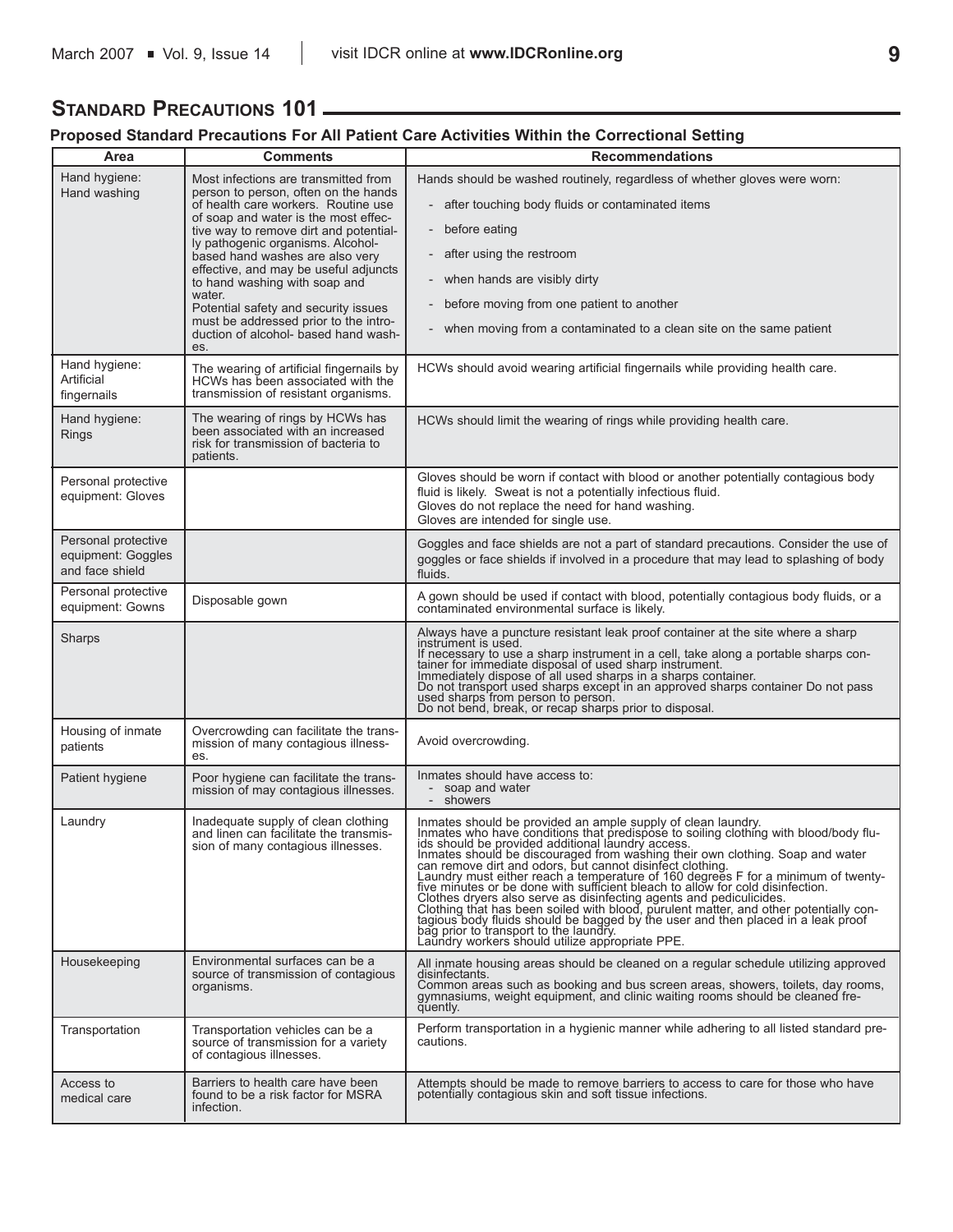# **STANDARD PRECAUTIONS 101**

# **Proposed Standard Precautions For All Patient Care Activities Within the Correctional Setting**

| Area                                                         | <b>Comments</b>                                                                                                                                                                                                                                                                                                                                                                                                                                                                                   | <b>Recommendations</b>                                                                                                                                                                                                                                                                                                                                                                                                                                                                               |  |
|--------------------------------------------------------------|---------------------------------------------------------------------------------------------------------------------------------------------------------------------------------------------------------------------------------------------------------------------------------------------------------------------------------------------------------------------------------------------------------------------------------------------------------------------------------------------------|------------------------------------------------------------------------------------------------------------------------------------------------------------------------------------------------------------------------------------------------------------------------------------------------------------------------------------------------------------------------------------------------------------------------------------------------------------------------------------------------------|--|
| Hand hygiene:<br>Hand washing                                | Most infections are transmitted from<br>person to person, often on the hands<br>of health care workers. Routine use<br>of soap and water is the most effec-<br>tive way to remove dirt and potential-<br>ly pathogenic organisms. Alcohol-<br>based hand washes are also very<br>effective, and may be useful adjuncts<br>to hand washing with soap and<br>water.<br>Potential safety and security issues<br>must be addressed prior to the intro-<br>duction of alcohol- based hand wash-<br>es. | Hands should be washed routinely, regardless of whether gloves were worn:<br>after touching body fluids or contaminated items<br>before eating<br>$\overline{\phantom{a}}$<br>after using the restroom<br>when hands are visibly dirty<br>before moving from one patient to another<br>when moving from a contaminated to a clean site on the same patient                                                                                                                                           |  |
| Hand hygiene:<br>Artificial<br>fingernails                   | The wearing of artificial fingernails by<br>HCWs has been associated with the<br>transmission of resistant organisms.                                                                                                                                                                                                                                                                                                                                                                             | HCWs should avoid wearing artificial fingernails while providing health care.                                                                                                                                                                                                                                                                                                                                                                                                                        |  |
| Hand hygiene:<br><b>Rings</b>                                | The wearing of rings by HCWs has<br>been associated with an increased<br>risk for transmission of bacteria to<br>patients.                                                                                                                                                                                                                                                                                                                                                                        | HCWs should limit the wearing of rings while providing health care.                                                                                                                                                                                                                                                                                                                                                                                                                                  |  |
| Personal protective<br>equipment: Gloves                     |                                                                                                                                                                                                                                                                                                                                                                                                                                                                                                   | Gloves should be worn if contact with blood or another potentially contagious body<br>fluid is likely. Sweat is not a potentially infectious fluid.<br>Gloves do not replace the need for hand washing.<br>Gloves are intended for single use.                                                                                                                                                                                                                                                       |  |
| Personal protective<br>equipment: Goggles<br>and face shield |                                                                                                                                                                                                                                                                                                                                                                                                                                                                                                   | Goggles and face shields are not a part of standard precautions. Consider the use of<br>goggles or face shields if involved in a procedure that may lead to splashing of body<br>fluids.                                                                                                                                                                                                                                                                                                             |  |
| Personal protective<br>equipment: Gowns                      | Disposable gown                                                                                                                                                                                                                                                                                                                                                                                                                                                                                   | A gown should be used if contact with blood, potentially contagious body fluids, or a<br>contaminated environmental surface is likely.                                                                                                                                                                                                                                                                                                                                                               |  |
| Sharps                                                       |                                                                                                                                                                                                                                                                                                                                                                                                                                                                                                   | Always have a puncture resistant leak proof container at the site where a sharp<br>instrument is used.<br>If necessary to use a sharp instrument in a cell, take along a portable sharps container for immediate disposal of used sharp instrument.<br>Immediately dispose of all used sharps in a sharps container.<br>Do not transport used sharps except in an approved sharps container Do not pass used sharps from person to person.<br>Do not bend, break, or recap sharps prior to disposal. |  |
| Housing of inmate<br>patients                                | Overcrowding can facilitate the trans-<br>mission of many contagious illness-<br>es.                                                                                                                                                                                                                                                                                                                                                                                                              | Avoid overcrowding.                                                                                                                                                                                                                                                                                                                                                                                                                                                                                  |  |
| Patient hygiene                                              | Poor hygiene can facilitate the trans-<br>mission of may contagious illnesses.                                                                                                                                                                                                                                                                                                                                                                                                                    | Inmates should have access to:<br>soap and water<br>showers                                                                                                                                                                                                                                                                                                                                                                                                                                          |  |
| Laundry                                                      | Inadequate supply of clean clothing<br>and linen can facilitate the transmis-<br>sion of many contagious illnesses.                                                                                                                                                                                                                                                                                                                                                                               | Inmates should be provided an ample supply of clean laundry.<br>Inmates who have conditions that predispose to soiling clothing with blood/body flu-<br>immates who have conditional laundry access.<br>ids should be provided additional laundry access.<br>Inmates should be discouraged from washing their own clothing. Soap and water<br>can remove dirt and odors, but cannot disinfec<br>Laundry workers should utilize appropriate PPE.                                                      |  |
| Housekeeping                                                 | Environmental surfaces can be a<br>source of transmission of contagious<br>organisms.                                                                                                                                                                                                                                                                                                                                                                                                             | All inmate housing areas should be cleaned on a regular schedule utilizing approved<br>disinfectants.<br>Common areas such as booking and bus screen areas, showers, toilets, day rooms, gymnasiums, weight equipment, and clinic waiting rooms should be cleaned fre-<br>quently.                                                                                                                                                                                                                   |  |
| Transportation                                               | Transportation vehicles can be a<br>source of transmission for a variety<br>of contagious illnesses.                                                                                                                                                                                                                                                                                                                                                                                              | Perform transportation in a hygienic manner while adhering to all listed standard pre-<br>cautions.                                                                                                                                                                                                                                                                                                                                                                                                  |  |
| Access to<br>medical care                                    | Barriers to health care have been<br>found to be a risk factor for MSRA<br>infection.                                                                                                                                                                                                                                                                                                                                                                                                             | Attempts should be made to remove barriers to access to care for those who have<br>potentially contagious skin and soft tissue infections.                                                                                                                                                                                                                                                                                                                                                           |  |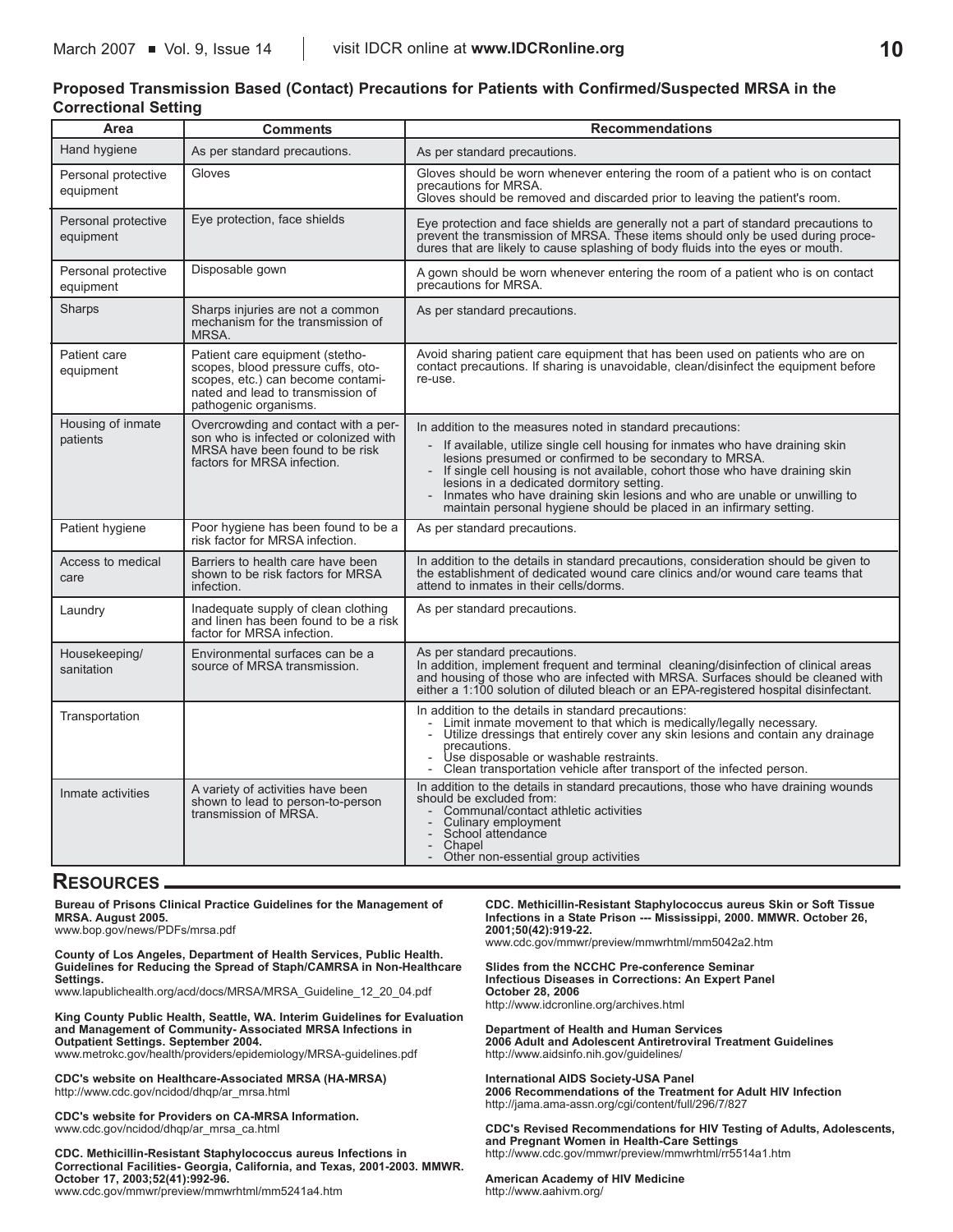# **Proposed Transmission Based (Contact) Precautions for Patients with Confirmed/Suspected MRSA in the Correctional Setting**

| Area                             | <b>Comments</b>                                                                                                                                                          | <b>Recommendations</b>                                                                                                                                                                                                                                                                                                                                                                                                                                                                |  |  |
|----------------------------------|--------------------------------------------------------------------------------------------------------------------------------------------------------------------------|---------------------------------------------------------------------------------------------------------------------------------------------------------------------------------------------------------------------------------------------------------------------------------------------------------------------------------------------------------------------------------------------------------------------------------------------------------------------------------------|--|--|
| Hand hygiene                     | As per standard precautions.                                                                                                                                             | As per standard precautions.                                                                                                                                                                                                                                                                                                                                                                                                                                                          |  |  |
| Personal protective<br>equipment | Gloves                                                                                                                                                                   | Gloves should be worn whenever entering the room of a patient who is on contact<br>precautions for MRSA.<br>Gloves should be removed and discarded prior to leaving the patient's room.                                                                                                                                                                                                                                                                                               |  |  |
| Personal protective<br>equipment | Eye protection, face shields                                                                                                                                             | Eye protection and face shields are generally not a part of standard precautions to<br>prevent the transmission of MRSA. These items should only be used during proce-<br>dures that are likely to cause splashing of body fluids into the eyes or mouth.                                                                                                                                                                                                                             |  |  |
| Personal protective<br>equipment | Disposable gown                                                                                                                                                          | A gown should be worn whenever entering the room of a patient who is on contact<br>precautions for MRSA.                                                                                                                                                                                                                                                                                                                                                                              |  |  |
| Sharps                           | Sharps injuries are not a common<br>mechanism for the transmission of<br>MRSA.                                                                                           | As per standard precautions.                                                                                                                                                                                                                                                                                                                                                                                                                                                          |  |  |
| Patient care<br>equipment        | Patient care equipment (stetho-<br>scopes, blood pressure cuffs, oto-<br>scopes, etc.) can become contami-<br>nated and lead to transmission of<br>pathogenic organisms. | Avoid sharing patient care equipment that has been used on patients who are on<br>contact precautions. If sharing is unavoidable, clean/disinfect the equipment before<br>re-use.                                                                                                                                                                                                                                                                                                     |  |  |
| Housing of inmate<br>patients    | Overcrowding and contact with a per-<br>son who is infected or colonized with<br>MRSA have been found to be risk<br>factors for MRSA infection.                          | In addition to the measures noted in standard precautions:<br>If available, utilize single cell housing for inmates who have draining skin<br>lesions presumed or confirmed to be secondary to MRSA.<br>If single cell housing is not available, cohort those who have draining skin<br>lesions in a dedicated dormitory setting.<br>Inmates who have draining skin lesions and who are unable or unwilling to<br>maintain personal hygiene should be placed in an infirmary setting. |  |  |
| Patient hygiene                  | Poor hygiene has been found to be a<br>risk factor for MRSA infection.                                                                                                   | As per standard precautions.                                                                                                                                                                                                                                                                                                                                                                                                                                                          |  |  |
| Access to medical<br>care        | Barriers to health care have been<br>shown to be risk factors for MRSA<br>infection.                                                                                     | In addition to the details in standard precautions, consideration should be given to<br>the establishment of dedicated wound care clinics and/or wound care teams that<br>attend to inmates in their cells/dorms.                                                                                                                                                                                                                                                                     |  |  |
| Laundry                          | Inadequate supply of clean clothing<br>and linen has been found to be a risk<br>factor for MRSA infection.                                                               | As per standard precautions.                                                                                                                                                                                                                                                                                                                                                                                                                                                          |  |  |
| Housekeeping/<br>sanitation      | Environmental surfaces can be a<br>source of MRSA transmission.                                                                                                          | As per standard precautions.<br>In addition, implement frequent and terminal cleaning/disinfection of clinical areas<br>and housing of those who are infected with MRSA. Surfaces should be cleaned with<br>either a 1:100 solution of diluted bleach or an EPA-registered hospital disinfectant.                                                                                                                                                                                     |  |  |
| Transportation                   |                                                                                                                                                                          | In addition to the details in standard precautions:<br>Limit inmate movement to that which is medically/legally necessary.<br>Utilize dressings that entirely cover any skin lesions and contain any drainage<br>$\overline{\phantom{a}}$<br>precautions.<br>Use disposable or washable restraints.<br>Clean transportation vehicle after transport of the infected person.<br>$\overline{\phantom{0}}$                                                                               |  |  |
| Inmate activities                | A variety of activities have been<br>shown to lead to person-to-person<br>transmission of MRSA.                                                                          | In addition to the details in standard precautions, those who have draining wounds<br>should be excluded from:<br>Communal/contact athletic activities<br>Culinary employment<br>$\overline{\phantom{a}}$<br>School attendance<br>$\overline{\phantom{a}}$<br>Chapel<br>$\overline{\phantom{0}}$<br>Other non-essential group activities<br>$\overline{\phantom{0}}$                                                                                                                  |  |  |

# **RESOURCES**

**Bureau of Prisons Clinical Practice Guidelines for the Management of MRSA. August 2005.** 

www.bop.gov/news/PDFs/mrsa.pdf

**County of Los Angeles, Department of Health Services, Public Health. Guidelines for Reducing the Spread of Staph/CAMRSA in Non-Healthcare Settings.** www.lapublichealth.org/acd/docs/MRSA/MRSA\_Guideline\_12\_20\_04.pdf

**King County Public Health, Seattle, WA. Interim Guidelines for Evaluation and Management of Community- Associated MRSA Infections in Outpatient Settings. September 2004.** 

www.metrokc.gov/health/providers/epidemiology/MRSA-guidelines.pdf

**CDC's website on Healthcare-Associated MRSA (HA-MRSA)** http://www.cdc.gov/ncidod/dhqp/ar\_mrsa.html

**CDC's website for Providers on CA-MRSA Information.** www.cdc.gov/ncidod/dhqp/ar\_mrsa\_ca.html

**CDC. Methicillin-Resistant Staphylococcus aureus Infections in Correctional Facilities- Georgia, California, and Texas, 2001-2003. MMWR. October 17, 2003;52(41):992-96.**  www.cdc.gov/mmwr/preview/mmwrhtml/mm5241a4.htm

**CDC. Methicillin-Resistant Staphylococcus aureus Skin or Soft Tissue Infections in a State Prison --- Mississippi, 2000. MMWR. October 26, 2001;50(42):919-22.** www.cdc.gov/mmwr/preview/mmwrhtml/mm5042a2.htm

**Slides from the NCCHC Pre-conference Seminar Infectious Diseases in Corrections: An Expert Panel October 28, 2006** http://www.idcronline.org/archives.html

**Department of Health and Human Services 2006 Adult and Adolescent Antiretroviral Treatment Guidelines** http://www.aidsinfo.nih.gov/guidelines/

**International AIDS Society-USA Panel 2006 Recommendations of the Treatment for Adult HIV Infection** http://jama.ama-assn.org/cgi/content/full/296/7/827

**CDC's Revised Recommendations for HIV Testing of Adults, Adolescents, and Pregnant Women in Health-Care Settings** http://www.cdc.gov/mmwr/preview/mmwrhtml/rr5514a1.htm

**American Academy of HIV Medicine** http://www.aahivm.org/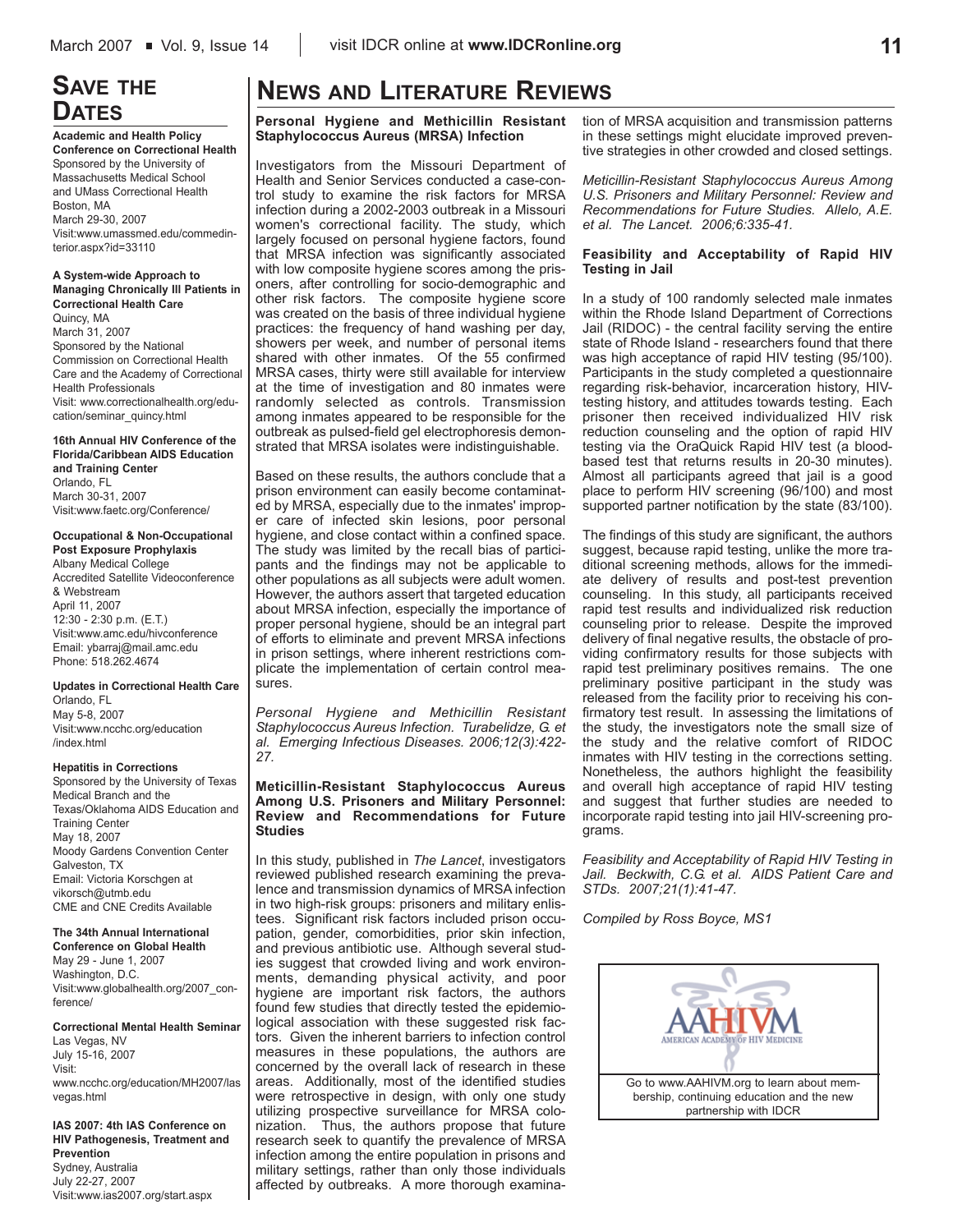# **SAVE THE DATES**

**Academic and Health Policy Conference on Correctional Health** Sponsored by the University of Massachusetts Medical School and UMass Correctional Health Boston, MA March 29-30, 2007 Visit:www.umassmed.edu/commedinterior.aspx?id=33110

**A System-wide Approach to Managing Chronically Ill Patients in Correctional Health Care** Quincy, MA March 31, 2007 Sponsored by the National Commission on Correctional Health Care and the Academy of Correctional Health Professionals Visit: www.correctionalhealth.org/education/seminar\_quincy.html

**16th Annual HIV Conference of the Florida/Caribbean AIDS Education and Training Center** Orlando, FL March 30-31, 2007 Visit:www.faetc.org/Conference/

**Occupational & Non-Occupational Post Exposure Prophylaxis** Albany Medical College Accredited Satellite Videoconference & Webstream April 11, 2007 12:30 - 2:30 p.m. (E.T.) Visit:www.amc.edu/hivconference Email: ybarraj@mail.amc.edu Phone: 518.262.4674

**Updates in Correctional Health Care** Orlando, FL May 5-8, 2007 Visit:www.ncchc.org/education /index.html

### **Hepatitis in Corrections**

Sponsored by the University of Texas Medical Branch and the Texas/Oklahoma AIDS Education and Training Center May 18, 2007 Moody Gardens Convention Center Galveston, TX Email: Victoria Korschgen at vikorsch@utmb.edu CME and CNE Credits Available

### **The 34th Annual International**

**Conference on Global Health** May 29 - June 1, 2007 Washington, D.C. Visit:www.globalhealth.org/2007\_conference/

**Correctional Mental Health Seminar** Las Vegas, NV July 15-16, 2007 Visit: www.ncchc.org/education/MH2007/las vegas.html

**IAS 2007: 4th IAS Conference on HIV Pathogenesis, Treatment and Prevention** Sydney, Australia July 22-27, 2007 Visit:www.ias2007.org/start.aspx

# **NEWS AND LITERATURE REVIEWS**

**Personal Hygiene and Methicillin Resistant Staphylococcus Aureus (MRSA) Infection**

Investigators from the Missouri Department of Health and Senior Services conducted a case-control study to examine the risk factors for MRSA infection during a 2002-2003 outbreak in a Missouri women's correctional facility. The study, which largely focused on personal hygiene factors, found that MRSA infection was significantly associated with low composite hygiene scores among the prisoners, after controlling for socio-demographic and other risk factors. The composite hygiene score was created on the basis of three individual hygiene practices: the frequency of hand washing per day, showers per week, and number of personal items shared with other inmates. Of the 55 confirmed MRSA cases, thirty were still available for interview at the time of investigation and 80 inmates were randomly selected as controls. Transmission among inmates appeared to be responsible for the outbreak as pulsed-field gel electrophoresis demonstrated that MRSA isolates were indistinguishable.

Based on these results, the authors conclude that a prison environment can easily become contaminated by MRSA, especially due to the inmates' improper care of infected skin lesions, poor personal hygiene, and close contact within a confined space. The study was limited by the recall bias of participants and the findings may not be applicable to other populations as all subjects were adult women. However, the authors assert that targeted education about MRSA infection, especially the importance of proper personal hygiene, should be an integral part of efforts to eliminate and prevent MRSA infections in prison settings, where inherent restrictions complicate the implementation of certain control measures.

*Personal Hygiene and Methicillin Resistant Staphylococcus Aureus Infection. Turabelidze, G. et al. Emerging Infectious Diseases. 2006;12(3):422- 27.* 

# **Meticillin-Resistant Staphylococcus Aureus Among U.S. Prisoners and Military Personnel: Review and Recommendations for Future Studies**

In this study, published in *The Lancet*, investigators reviewed published research examining the prevalence and transmission dynamics of MRSA infection in two high-risk groups: prisoners and military enlistees. Significant risk factors included prison occupation, gender, comorbidities, prior skin infection, and previous antibiotic use. Although several studies suggest that crowded living and work environments, demanding physical activity, and poor hygiene are important risk factors, the authors found few studies that directly tested the epidemiological association with these suggested risk factors. Given the inherent barriers to infection control measures in these populations, the authors are concerned by the overall lack of research in these areas. Additionally, most of the identified studies were retrospective in design, with only one study utilizing prospective surveillance for MRSA colonization. Thus, the authors propose that future research seek to quantify the prevalence of MRSA infection among the entire population in prisons and military settings, rather than only those individuals affected by outbreaks. A more thorough examination of MRSA acquisition and transmission patterns in these settings might elucidate improved preventive strategies in other crowded and closed settings.

*Meticillin-Resistant Staphylococcus Aureus Among U.S. Prisoners and Military Personnel: Review and Recommendations for Future Studies. Allelo, A.E. et al. The Lancet. 2006;6:335-41.* 

## **Feasibility and Acceptability of Rapid HIV Testing in Jail**

In a study of 100 randomly selected male inmates within the Rhode Island Department of Corrections Jail (RIDOC) - the central facility serving the entire state of Rhode Island - researchers found that there was high acceptance of rapid HIV testing (95/100). Participants in the study completed a questionnaire regarding risk-behavior, incarceration history, HIVtesting history, and attitudes towards testing. Each prisoner then received individualized HIV risk reduction counseling and the option of rapid HIV testing via the OraQuick Rapid HIV test (a bloodbased test that returns results in 20-30 minutes). Almost all participants agreed that jail is a good place to perform HIV screening (96/100) and most supported partner notification by the state (83/100).

The findings of this study are significant, the authors suggest, because rapid testing, unlike the more traditional screening methods, allows for the immediate delivery of results and post-test prevention counseling. In this study, all participants received rapid test results and individualized risk reduction counseling prior to release. Despite the improved delivery of final negative results, the obstacle of providing confirmatory results for those subjects with rapid test preliminary positives remains. The one preliminary positive participant in the study was released from the facility prior to receiving his confirmatory test result. In assessing the limitations of the study, the investigators note the small size of the study and the relative comfort of RIDOC inmates with HIV testing in the corrections setting. Nonetheless, the authors highlight the feasibility and overall high acceptance of rapid HIV testing and suggest that further studies are needed to incorporate rapid testing into jail HIV-screening programs.

*Feasibility and Acceptability of Rapid HIV Testing in Jail. Beckwith, C.G. et al. AIDS Patient Care and STDs. 2007;21(1):41-47.* 

*Compiled by Ross Boyce, MS1*

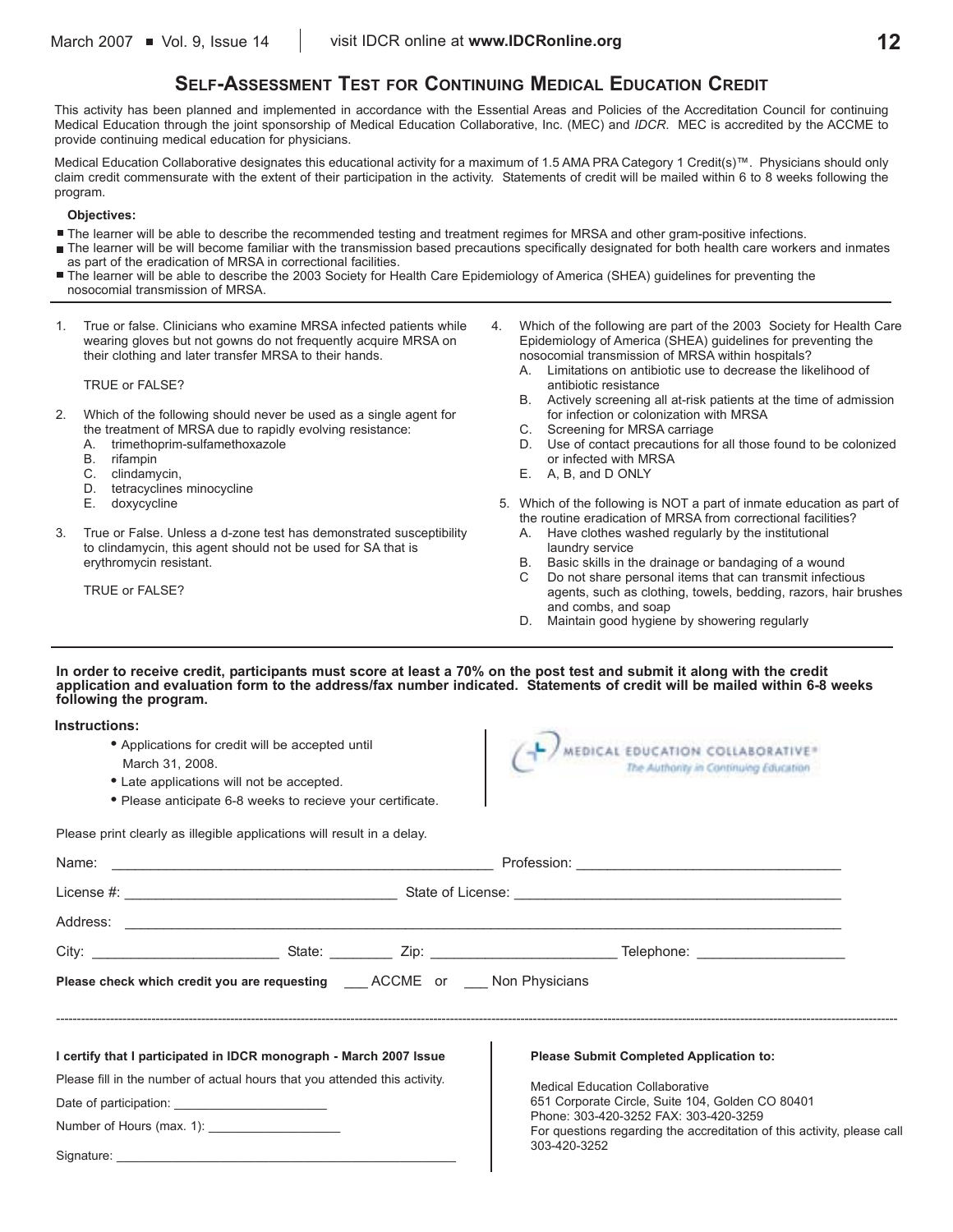# **SELF-ASSESSMENT TEST FOR CONTINUING MEDICAL EDUCATION CREDIT**

This activity has been planned and implemented in accordance with the Essential Areas and Policies of the Accreditation Council for continuing Medical Education through the joint sponsorship of Medical Education Collaborative, Inc. (MEC) and *IDCR*. MEC is accredited by the ACCME to provide continuing medical education for physicians.

Medical Education Collaborative designates this educational activity for a maximum of 1.5 AMA PRA Category 1 Credit(s)™. Physicians should only claim credit commensurate with the extent of their participation in the activity. Statements of credit will be mailed within 6 to 8 weeks following the program.

# **Objectives:**

- The learner will be able to describe the recommended testing and treatment regimes for MRSA and other gram-positive infections.
- The learner will be will become familiar with the transmission based precautions specifically designated for both health care workers and inmates as part of the eradication of MRSA in correctional facilities.
- The learner will be able to describe the 2003 Society for Health Care Epidemiology of America (SHEA) guidelines for preventing the nosocomial transmission of MRSA.
- 1. True or false. Clinicians who examine MRSA infected patients while wearing gloves but not gowns do not frequently acquire MRSA on their clothing and later transfer MRSA to their hands.

#### TRUE or FALSE?

- 2. Which of the following should never be used as a single agent for the treatment of MRSA due to rapidly evolving resistance:
	- A. trimethoprim-sulfamethoxazole
	- B. rifampin<br>C. clindamy
	- clindamycin.
	- D. tetracyclines minocycline<br>E doxycycline
	- doxycycline
- 3. True or False. Unless a d-zone test has demonstrated susceptibility to clindamycin, this agent should not be used for SA that is erythromycin resistant.
	- TRUE or FALSE?
- 4. Which of the following are part of the 2003 Society for Health Care Epidemiology of America (SHEA) guidelines for preventing the nosocomial transmission of MRSA within hospitals?
	- A. Limitations on antibiotic use to decrease the likelihood of antibiotic resistance
	- B. Actively screening all at-risk patients at the time of admission for infection or colonization with MRSA
	- C. Screening for MRSA carriage
	- D. Use of contact precautions for all those found to be colonized or infected with MRSA
	- E. A, B, and D ONLY
- 5. Which of the following is NOT a part of inmate education as part of the routine eradication of MRSA from correctional facilities?
	- A. Have clothes washed regularly by the institutional laundry service
	- Basic skills in the drainage or bandaging of a wound
	- C Do not share personal items that can transmit infectious agents, such as clothing, towels, bedding, razors, hair brushes and combs, and soap
	- D. Maintain good hygiene by showering regularly

## **In order to receive credit, participants must score at least a 70% on the post test and submit it along with the credit application and evaluation form to the address/fax number indicated. Statements of credit will be mailed within 6-8 weeks following the program.**

| Instructions: |  |
|---------------|--|
|               |  |

- **•** Applications for credit will be accepted until
- March 31, 2008.
- **•** Late applications will not be accepted.
- **•** Please anticipate 6-8 weeks to recieve your certificate.

 $\left(\begin{array}{c} \sqrt{\phantom{a}} \\ \end{array}\right)$  medical education collaboratives The Authority in Continuing Education

Please print clearly as illegible applications will result in a delay.

| Please check which credit you are requesting _____ ACCME or _____ Non Physicians |  |  |                                                                                                                  |  |  |  |
|----------------------------------------------------------------------------------|--|--|------------------------------------------------------------------------------------------------------------------|--|--|--|
|                                                                                  |  |  |                                                                                                                  |  |  |  |
| I certify that I participated in IDCR monograph - March 2007 Issue               |  |  | <b>Please Submit Completed Application to:</b>                                                                   |  |  |  |
| Please fill in the number of actual hours that you attended this activity.       |  |  | <b>Medical Education Collaborative</b>                                                                           |  |  |  |
|                                                                                  |  |  | 651 Corporate Circle, Suite 104, Golden CO 80401                                                                 |  |  |  |
|                                                                                  |  |  | Phone: 303-420-3252 FAX: 303-420-3259<br>For questions regarding the accreditation of this activity, please call |  |  |  |
|                                                                                  |  |  | 303-420-3252                                                                                                     |  |  |  |